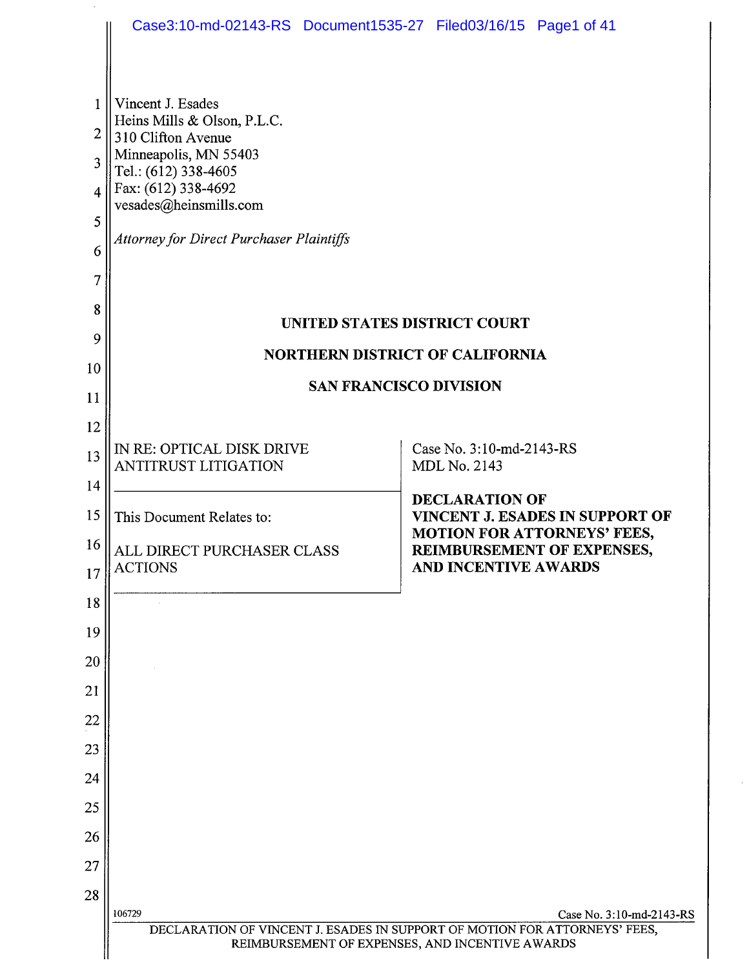|                                                      | Case3:10-md-02143-RS Document1535-27 Filed03/16/15 Page1 of 41                                                                                                                                                              |                                                 |                                                                |                                   |  |  |
|------------------------------------------------------|-----------------------------------------------------------------------------------------------------------------------------------------------------------------------------------------------------------------------------|-------------------------------------------------|----------------------------------------------------------------|-----------------------------------|--|--|
| $\mathbf{1}$<br>2<br>3<br>4<br>5<br>6<br>7<br>8<br>9 | Vincent J. Esades<br>Heins Mills & Olson, P.L.C.<br>310 Clifton Avenue<br>Minneapolis, MN 55403<br>Tel.: (612) 338-4605<br>Fax: (612) 338-4692<br>vesades@heinsmills.com<br><b>Attorney for Direct Purchaser Plaintiffs</b> | UNITED STATES DISTRICT COURT                    |                                                                |                                   |  |  |
| 10                                                   | <b>NORTHERN DISTRICT OF CALIFORNIA</b><br><b>SAN FRANCISCO DIVISION</b>                                                                                                                                                     |                                                 |                                                                |                                   |  |  |
| 11                                                   |                                                                                                                                                                                                                             |                                                 |                                                                |                                   |  |  |
| 12                                                   |                                                                                                                                                                                                                             |                                                 |                                                                |                                   |  |  |
| 13                                                   | IN RE: OPTICAL DISK DRIVE<br><b>ANTITRUST LITIGATION</b>                                                                                                                                                                    |                                                 | Case No. 3:10-md-2143-RS<br><b>MDL No. 2143</b>                |                                   |  |  |
| 14                                                   |                                                                                                                                                                                                                             |                                                 | <b>DECLARATION OF</b>                                          |                                   |  |  |
| 15<br>16                                             | This Document Relates to:                                                                                                                                                                                                   |                                                 | VINCENT J. ESADES IN SUPPORT OF<br>MOTION FOR ATTORNEYS' FEES, |                                   |  |  |
| 17                                                   | ALL DIRECT PURCHASER CLASS<br><b>ACTIONS</b>                                                                                                                                                                                |                                                 | AND INCENTIVE AWARDS                                           | <b>REIMBURSEMENT OF EXPENSES,</b> |  |  |
| 18                                                   |                                                                                                                                                                                                                             |                                                 |                                                                |                                   |  |  |
| 19                                                   |                                                                                                                                                                                                                             |                                                 |                                                                |                                   |  |  |
| 20                                                   |                                                                                                                                                                                                                             |                                                 |                                                                |                                   |  |  |
| 21                                                   |                                                                                                                                                                                                                             |                                                 |                                                                |                                   |  |  |
| 22                                                   |                                                                                                                                                                                                                             |                                                 |                                                                |                                   |  |  |
| 23                                                   |                                                                                                                                                                                                                             |                                                 |                                                                |                                   |  |  |
| 24                                                   |                                                                                                                                                                                                                             |                                                 |                                                                |                                   |  |  |
| 25                                                   |                                                                                                                                                                                                                             |                                                 |                                                                |                                   |  |  |
| 26                                                   |                                                                                                                                                                                                                             |                                                 |                                                                |                                   |  |  |
| 27                                                   |                                                                                                                                                                                                                             |                                                 |                                                                |                                   |  |  |
| 28                                                   | 106729                                                                                                                                                                                                                      |                                                 |                                                                |                                   |  |  |
|                                                      | DECLARATION OF VINCENT J. ESADES IN SUPPORT OF MOTION FOR ATTORNEYS' FEES,                                                                                                                                                  |                                                 |                                                                | Case No. 3:10-md-2143-RS          |  |  |
|                                                      |                                                                                                                                                                                                                             | REIMBURSEMENT OF EXPENSES, AND INCENTIVE AWARDS |                                                                |                                   |  |  |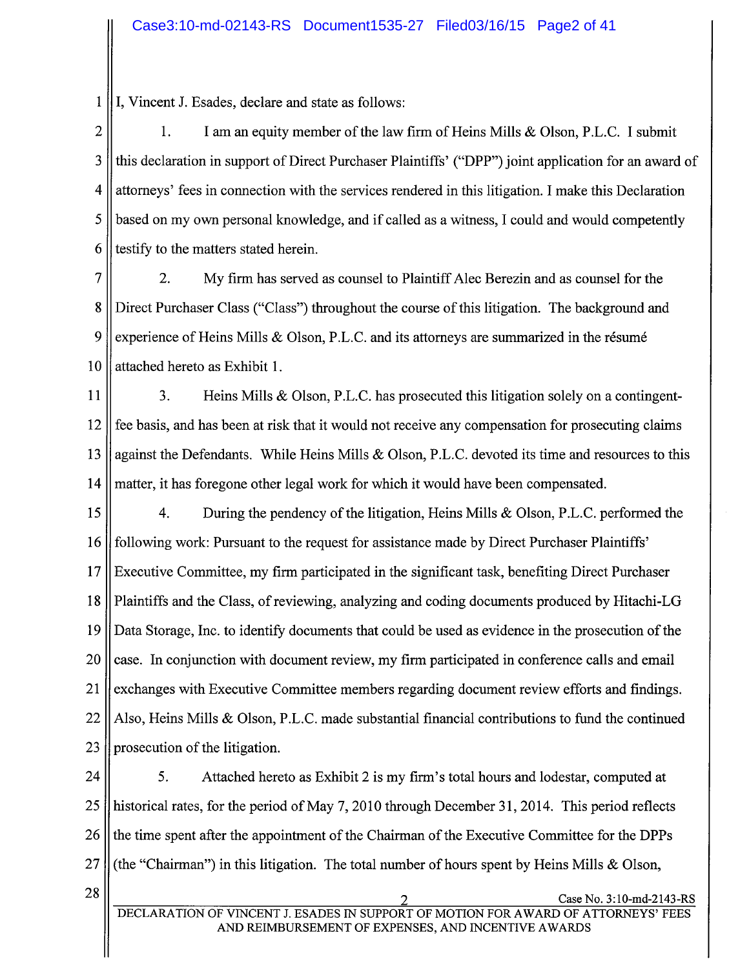1 I, Vincent J. Esades, declare and state as follows:

2 | 1. I am an equity member of the law firm of Heins Mills & Olson, P.L.C. I submit 3 || this declaration in support of Direct Purchaser Plaintiffs' ("DPP") joint application for an award of 4 attorneys' fees in connection with the services rendered in this litigation. I make this Declaration 5 based on my own personal knowledge, and if called as a witness, I could and would competently 6 s testify to the matters stated herein.

7 2. My firm has served as counsel to Plaintiff Alec Berezin and as counsel for the 8 Direct Purchaser Class ("Class") throughout the course of this litigation. The background and 9 | experience of Heins Mills & Olson, P.L.C. and its attorneys are summarized in the résumé 10 || attached hereto as Exhibit 1.

11 | 3. Heins Mills & Olson, P.L.C. has prosecuted this litigation solely on a contingent-12 fee basis, and has been at risk that it would not receive any compensation for prosecuting claims 13 against the Defendants. While Heins Mills & Olson, P.L.C. devoted its time and resources to this 14 matter, it has foregone other legal work for which it would have been compensated.

15 4. During the pendency of the litigation, Heins Mils & Olson, P.L.C. performed the 16 following work: Pursuant to the request for assistance made by Direct Purchaser Plaintiffs' 17 Executive Committee, my firm paricipated in the significant task, benefiting Direct Purchaser 18 Plaintiffs and the Class, of reviewing, analyzing and coding documents produced by Hitachi-LG 19 Data Storage, Inc. to identify documents that could be used as evidence in the prosecution of the 20 case. In conjunction with document review, my firm participated in conference calls and email 21 exchanges with Executive Committee members regarding document review efforts and findings. 22 || Also, Heins Mills & Olson, P.L.C. made substantial financial contributions to fund the continued 23 | prosecution of the litigation.

24 | 5. Attached hereto as Exhibit 2 is my firm's total hours and lodestar, computed at 25 | historical rates, for the period of May 7, 2010 through December 31, 2014. This period reflects 26 If the time spent after the appointment of the Chairman of the Executive Committee for the DPPs 27 (the "Chairman") in this litigation. The total number of hours spent by Heins Mills & Olson,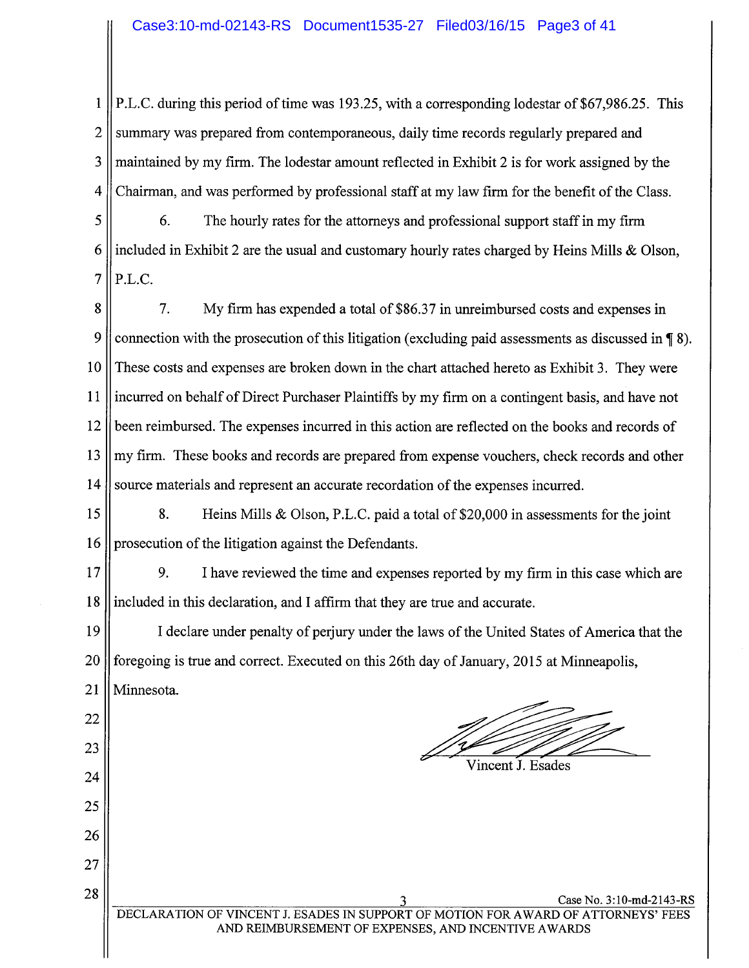1 || P.L.C. during this period of time was 193.25, with a corresponding lodestar of \$67,986.25. This 2 Summary was prepared from contemporaneous, daily time records regularly prepared and 3 maintained by my firm. The lodestar amount reflected in Exhibit 2 is for work assigned by the 4 Chairman, and was performed by professional staff at my law firm for the benefit of the Class.

5 6. The hourly rates for the attorneys and professional support staff in my firm 6 included in Exhibit 2 are the usual and customary hourly rates charged by Heins Mills & Olson,  $7$  || P.L.C.

8 || 7. My firm has expended a total of \$86.37 in unreimbursed costs and expenses in 9 connection with the prosecution of this litigation (excluding paid assessments as discussed in  $\P$  8). 10 These costs and expenses are broken down in the chart attached hereto as Exhibit 3. They were 11 incurred on behalf of Direct Purchaser Plaintiffs by my firm on a contingent basis, and have not 12 been reimbursed. The expenses incured in this action are reflected on the books and records of 13 || my firm. These books and records are prepared from expense vouchers, check records and other 14 Source materials and represent an accurate recordation of the expenses incurred.

15 || 8. Heins Mills & Olson, P.L.C. paid a total of \$20,000 in assessments for the joint 16 | prosecution of the litigation against the Defendants.

17 9. I have reviewed the time and expenses reported by my firm in this case which are 18 included in this declaration, and I affirm that they are true and accurate.

19 I declare under penalty of perjury under the laws of the United States of America that the 20 Solis for example is true and correct. Executed on this 26th day of January, 2015 at Minneapolis, 21 Minnesota.

22

23

24

25

26

27

/ 1<br>|<br>|<br>|

Vincent J. Esades

28 Case No. 3:10-md-2143-RS<br>
DECLARATION OF VINCENT J. ESADES IN SUPPORT OF MOTION FOR AWARD OF ATTORNEYS' FEES ESADES IN SUPPORT OF MOTION FOR AWARD OF ATTORNEYS' FEES AND REIMBURSEMENT OF EXPENSES, AND INCENTIVE A WARDS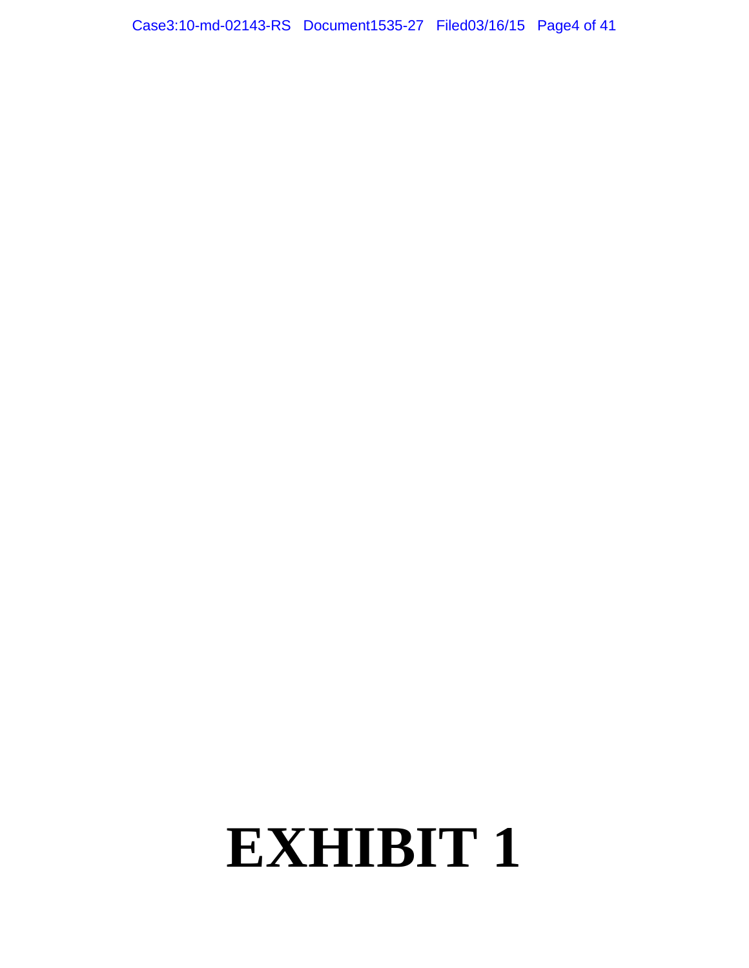Case3:10-md-02143-RS Document1535-27 Filed03/16/15 Page4 of 41

# **EXHIBIT 1**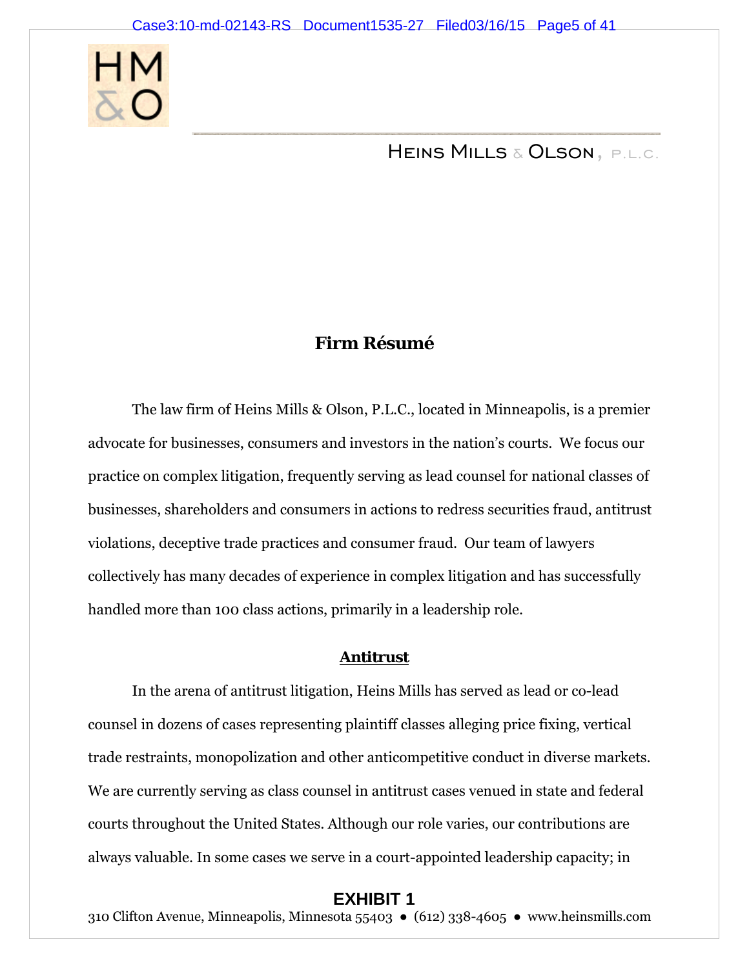

Heins Mills & Olson, p.l.c.

# **Firm Résumé**

The law firm of Heins Mills & Olson, P.L.C., located in Minneapolis, is a premier advocate for businesses, consumers and investors in the nation's courts. We focus our practice on complex litigation, frequently serving as lead counsel for national classes of businesses, shareholders and consumers in actions to redress securities fraud, antitrust violations, deceptive trade practices and consumer fraud. Our team of lawyers collectively has many decades of experience in complex litigation and has successfully handled more than 100 class actions, primarily in a leadership role.

#### **Antitrust**

 In the arena of antitrust litigation, Heins Mills has served as lead or co-lead counsel in dozens of cases representing plaintiff classes alleging price fixing, vertical trade restraints, monopolization and other anticompetitive conduct in diverse markets. We are currently serving as class counsel in antitrust cases venued in state and federal courts throughout the United States. Although our role varies, our contributions are always valuable. In some cases we serve in a court-appointed leadership capacity; in

#### **EXHIBIT 1**

310 Clifton Avenue, Minneapolis, Minnesota 55403 ● (612) 338-4605 ● www.heinsmills.com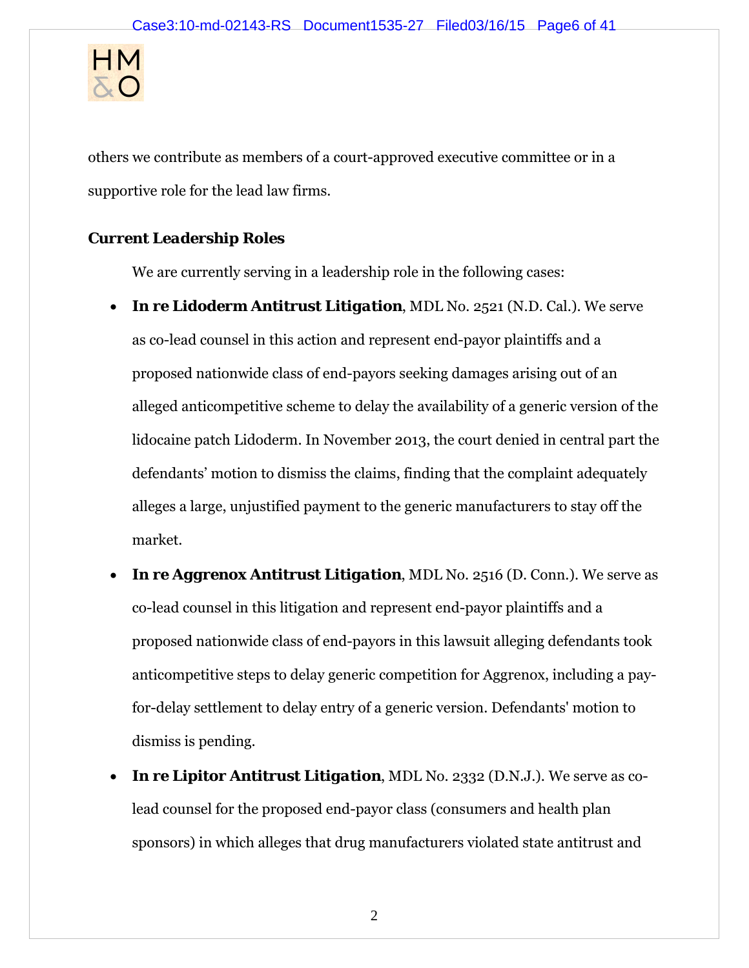

others we contribute as members of a court-approved executive committee or in a supportive role for the lead law firms.

# *Current Leadership Roles*

We are currently serving in a leadership role in the following cases:

- *In re Lidoderm Antitrust Litigation*, MDL No. 2521 (N.D. Cal.). We serve as co-lead counsel in this action and represent end-payor plaintiffs and a proposed nationwide class of end-payors seeking damages arising out of an alleged anticompetitive scheme to delay the availability of a generic version of the lidocaine patch Lidoderm. In November 2013, the court denied in central part the defendants' motion to dismiss the claims, finding that the complaint adequately alleges a large, unjustified payment to the generic manufacturers to stay off the market.
- *In re Aggrenox Antitrust Litigation*, MDL No. 2516 (D. Conn.). We serve as co-lead counsel in this litigation and represent end-payor plaintiffs and a proposed nationwide class of end-payors in this lawsuit alleging defendants took anticompetitive steps to delay generic competition for Aggrenox, including a payfor-delay settlement to delay entry of a generic version. Defendants' motion to dismiss is pending.
- *In re Lipitor Antitrust Litigation*, MDL No. 2332 (D.N.J.). We serve as colead counsel for the proposed end-payor class (consumers and health plan sponsors) in which alleges that drug manufacturers violated state antitrust and

2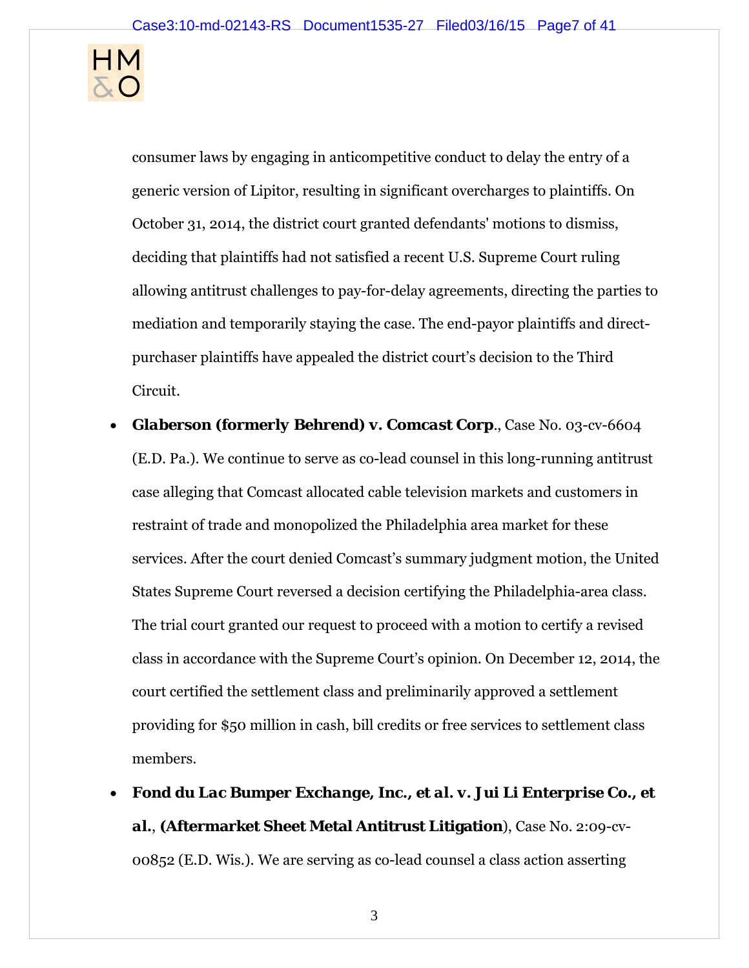

consumer laws by engaging in anticompetitive conduct to delay the entry of a generic version of Lipitor, resulting in significant overcharges to plaintiffs. On October 31, 2014, the district court granted defendants' motions to dismiss, deciding that plaintiffs had not satisfied a recent U.S. Supreme Court ruling allowing antitrust challenges to pay-for-delay agreements, directing the parties to mediation and temporarily staying the case. The end-payor plaintiffs and directpurchaser plaintiffs have appealed the district court's decision to the Third Circuit.

- *Glaberson (formerly Behrend) v. Comcast Corp.*, Case No. 03-cv-6604 (E.D. Pa.). We continue to serve as co-lead counsel in this long-running antitrust case alleging that Comcast allocated cable television markets and customers in restraint of trade and monopolized the Philadelphia area market for these services. After the court denied Comcast's summary judgment motion, the United States Supreme Court reversed a decision certifying the Philadelphia-area class. The trial court granted our request to proceed with a motion to certify a revised class in accordance with the Supreme Court's opinion. On December 12, 2014, the court certified the settlement class and preliminarily approved a settlement providing for \$50 million in cash, bill credits or free services to settlement class members.
- *Fond du Lac Bumper Exchange, Inc., et al. v. Jui Li Enterprise Co., et al.*, **(Aftermarket Sheet Metal Antitrust Litigation**), Case No. 2:09-cv-00852 (E.D. Wis.). We are serving as co-lead counsel a class action asserting

3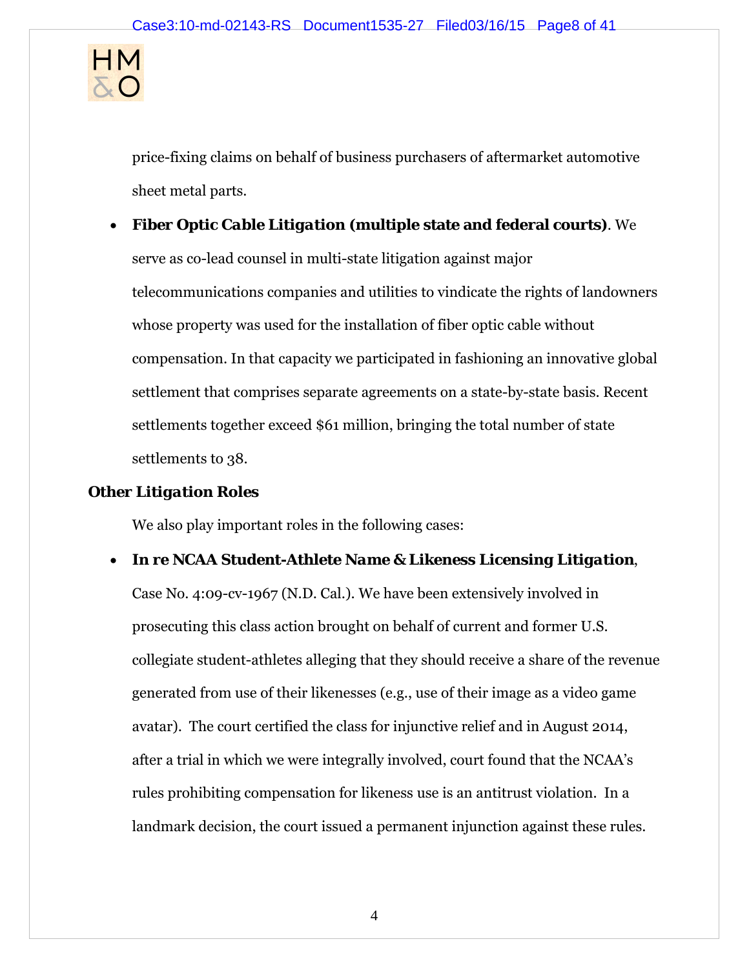

price-fixing claims on behalf of business purchasers of aftermarket automotive sheet metal parts.

*Fiber Optic Cable Litigation* **(multiple state and federal courts)**. We

serve as co-lead counsel in multi-state litigation against major telecommunications companies and utilities to vindicate the rights of landowners whose property was used for the installation of fiber optic cable without compensation. In that capacity we participated in fashioning an innovative global settlement that comprises separate agreements on a state-by-state basis. Recent settlements together exceed \$61 million, bringing the total number of state settlements to 38.

#### *Other Litigation Roles*

We also play important roles in the following cases:

## *In re NCAA Student-Athlete Name & Likeness Licensing Litigation*,

Case No. 4:09-cv-1967 (N.D. Cal.). We have been extensively involved in prosecuting this class action brought on behalf of current and former U.S. collegiate student-athletes alleging that they should receive a share of the revenue generated from use of their likenesses (e.g., use of their image as a video game avatar). The court certified the class for injunctive relief and in August 2014, after a trial in which we were integrally involved, court found that the NCAA's rules prohibiting compensation for likeness use is an antitrust violation. In a landmark decision, the court issued a permanent injunction against these rules.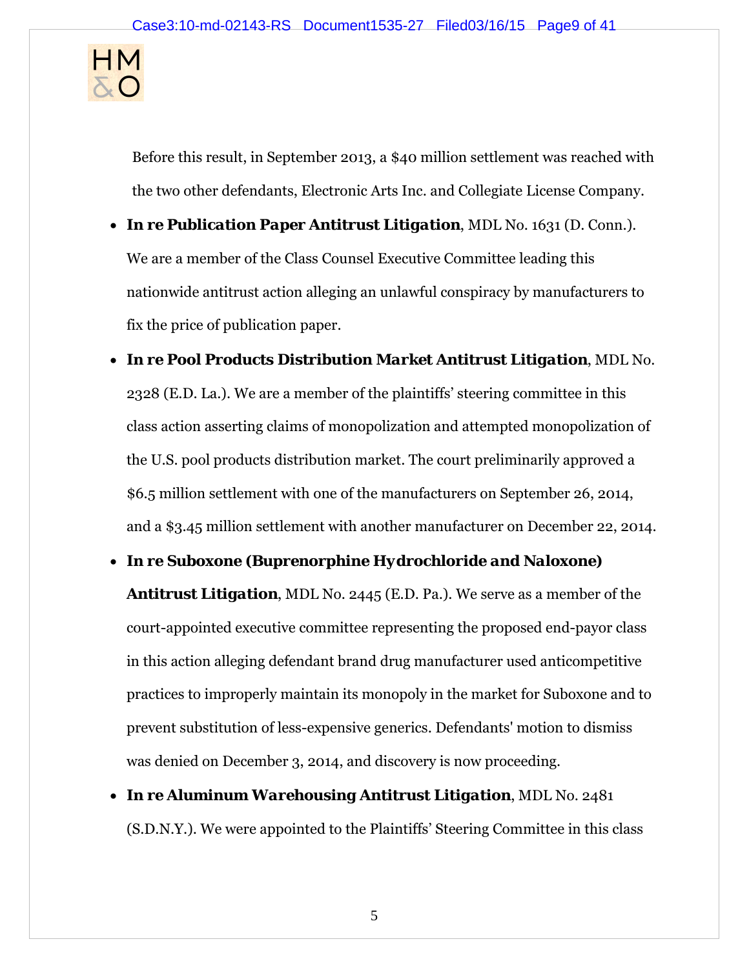

Before this result, in September 2013, a \$40 million settlement was reached with the two other defendants, Electronic Arts Inc. and Collegiate License Company.

- *In re Publication Paper Antitrust Litigation*, MDL No. 1631 (D. Conn.). We are a member of the Class Counsel Executive Committee leading this nationwide antitrust action alleging an unlawful conspiracy by manufacturers to fix the price of publication paper.
- *In re Pool Products Distribution Market Antitrust Litigation*, MDL No. 2328 (E.D. La.). We are a member of the plaintiffs' steering committee in this class action asserting claims of monopolization and attempted monopolization of the U.S. pool products distribution market. The court preliminarily approved a \$6.5 million settlement with one of the manufacturers on September 26, 2014, and a \$3.45 million settlement with another manufacturer on December 22, 2014.
- *In re Suboxone (Buprenorphine Hydrochloride and Naloxone)*

*Antitrust Litigation*, MDL No. 2445 (E.D. Pa.). We serve as a member of the court-appointed executive committee representing the proposed end-payor class in this action alleging defendant brand drug manufacturer used anticompetitive practices to improperly maintain its monopoly in the market for Suboxone and to prevent substitution of less-expensive generics. Defendants' motion to dismiss was denied on December 3, 2014, and discovery is now proceeding.

 *In re Aluminum Warehousing Antitrust Litigation*, MDL No. 2481 (S.D.N.Y.). We were appointed to the Plaintiffs' Steering Committee in this class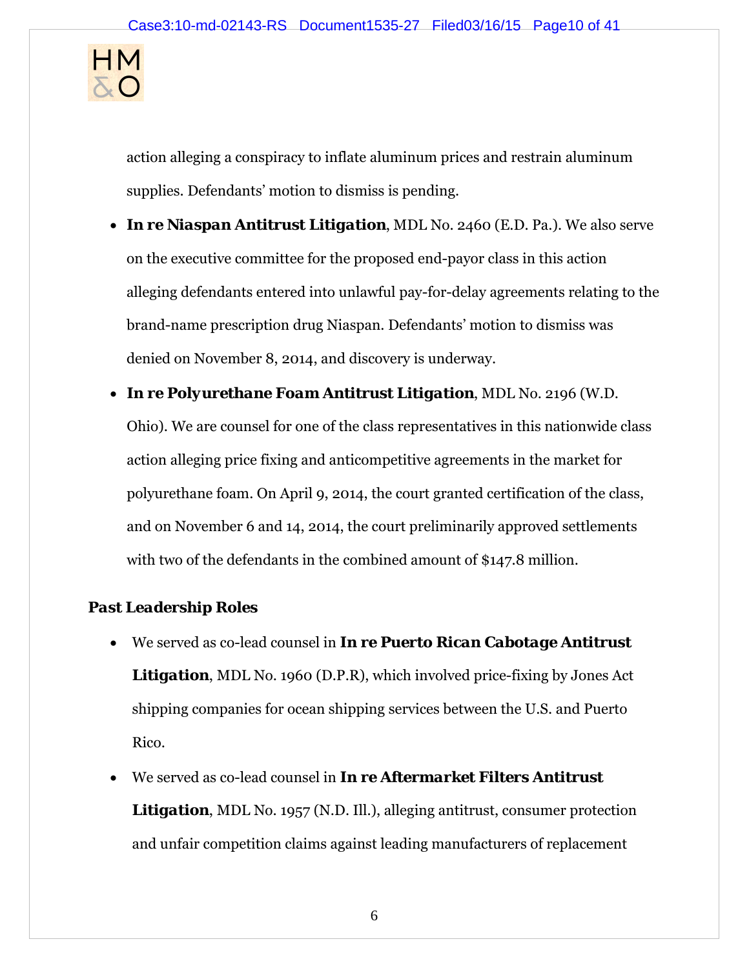

action alleging a conspiracy to inflate aluminum prices and restrain aluminum supplies. Defendants' motion to dismiss is pending.

- *In re Niaspan Antitrust Litigation*, MDL No. 2460 (E.D. Pa.). We also serve on the executive committee for the proposed end-payor class in this action alleging defendants entered into unlawful pay-for-delay agreements relating to the brand-name prescription drug Niaspan. Defendants' motion to dismiss was denied on November 8, 2014, and discovery is underway.
- *In re Polyurethane Foam Antitrust Litigation*, MDL No. 2196 (W.D. Ohio). We are counsel for one of the class representatives in this nationwide class action alleging price fixing and anticompetitive agreements in the market for polyurethane foam. On April 9, 2014, the court granted certification of the class, and on November 6 and 14, 2014, the court preliminarily approved settlements with two of the defendants in the combined amount of \$147.8 million.

# *Past Leadership Roles*

- We served as co-lead counsel in *In re Puerto Rican Cabotage Antitrust Litigation*, MDL No. 1960 (D.P.R), which involved price-fixing by Jones Act shipping companies for ocean shipping services between the U.S. and Puerto Rico.
- We served as co-lead counsel in *In re Aftermarket Filters Antitrust*  **Litigation**, MDL No. 1957 (N.D. Ill.), alleging antitrust, consumer protection and unfair competition claims against leading manufacturers of replacement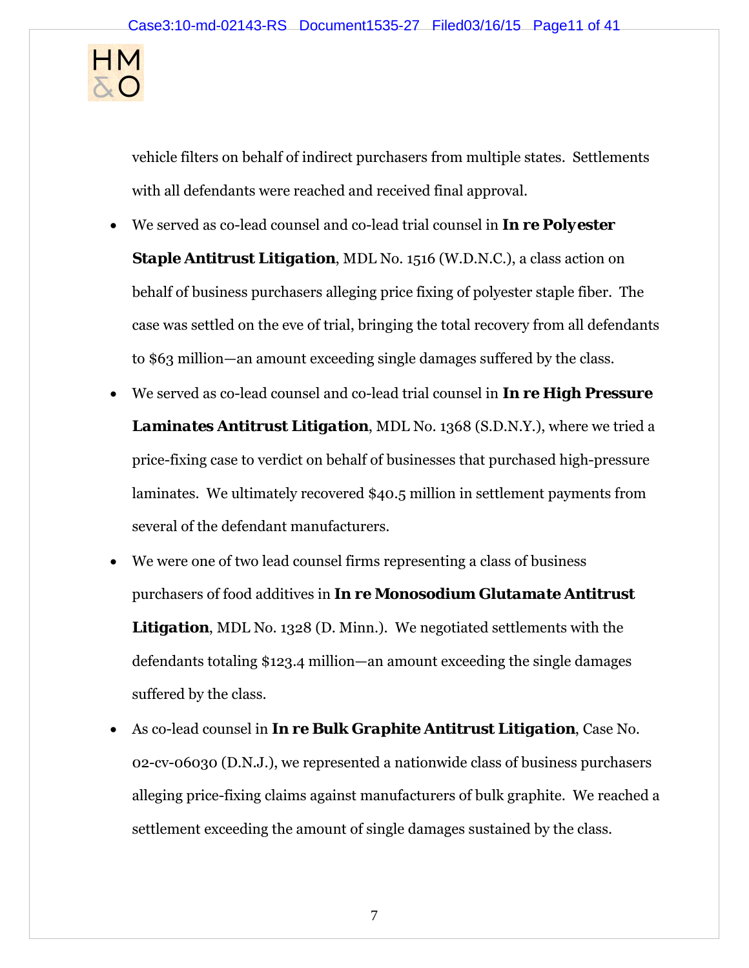

vehicle filters on behalf of indirect purchasers from multiple states. Settlements with all defendants were reached and received final approval.

- We served as co-lead counsel and co-lead trial counsel in *In re Polyester Staple Antitrust Litigation, MDL No. 1516 (W.D.N.C.), a class action on* behalf of business purchasers alleging price fixing of polyester staple fiber. The case was settled on the eve of trial, bringing the total recovery from all defendants to \$63 million—an amount exceeding single damages suffered by the class.
- We served as co-lead counsel and co-lead trial counsel in *In re High Pressure Laminates Antitrust Litigation*, MDL No. 1368 (S.D.N.Y.), where we tried a price-fixing case to verdict on behalf of businesses that purchased high-pressure laminates. We ultimately recovered \$40.5 million in settlement payments from several of the defendant manufacturers.
- We were one of two lead counsel firms representing a class of business purchasers of food additives in *In re Monosodium Glutamate Antitrust Litigation*, MDL No. 1328 (D. Minn.). We negotiated settlements with the defendants totaling \$123.4 million—an amount exceeding the single damages suffered by the class.
- As co-lead counsel in *In re Bulk Graphite Antitrust Litigation*, Case No. 02-cv-06030 (D.N.J.), we represented a nationwide class of business purchasers alleging price-fixing claims against manufacturers of bulk graphite. We reached a settlement exceeding the amount of single damages sustained by the class.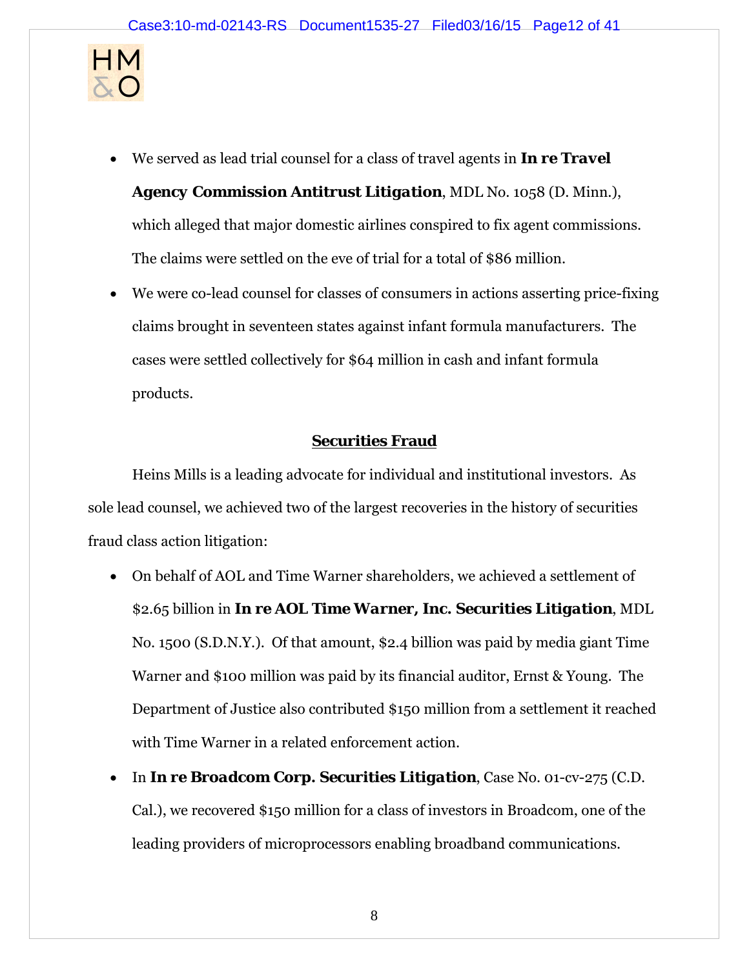

We served as lead trial counsel for a class of travel agents in *In re Travel* 

*Agency Commission Antitrust Litigation*, MDL No. 1058 (D. Minn.), which alleged that major domestic airlines conspired to fix agent commissions. The claims were settled on the eve of trial for a total of \$86 million.

 We were co-lead counsel for classes of consumers in actions asserting price-fixing claims brought in seventeen states against infant formula manufacturers. The cases were settled collectively for \$64 million in cash and infant formula products.

# **Securities Fraud**

Heins Mills is a leading advocate for individual and institutional investors. As sole lead counsel, we achieved two of the largest recoveries in the history of securities fraud class action litigation:

- On behalf of AOL and Time Warner shareholders, we achieved a settlement of \$2.65 billion in *In re AOL Time Warner, Inc. Securities Litigation*, MDL No. 1500 (S.D.N.Y.). Of that amount, \$2.4 billion was paid by media giant Time Warner and \$100 million was paid by its financial auditor, Ernst & Young. The Department of Justice also contributed \$150 million from a settlement it reached with Time Warner in a related enforcement action.
- In *In re Broadcom Corp. Securities Litigation*, Case No. 01-cv-275 (C.D. Cal.), we recovered \$150 million for a class of investors in Broadcom, one of the leading providers of microprocessors enabling broadband communications.

8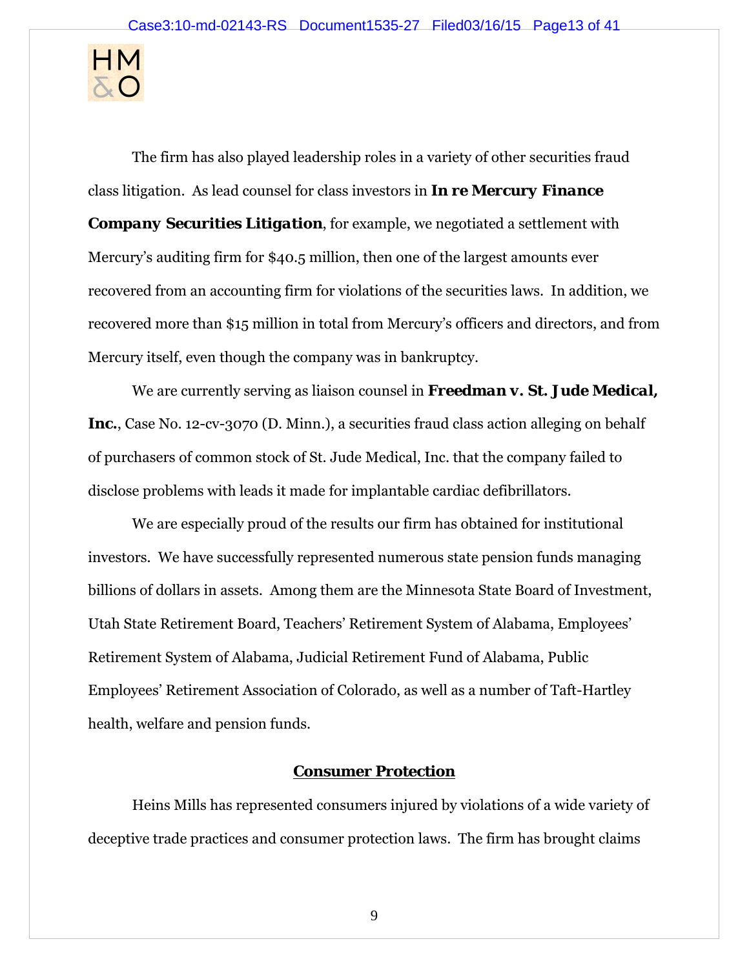

The firm has also played leadership roles in a variety of other securities fraud class litigation. As lead counsel for class investors in *In re Mercury Finance Company Securities Litigation*, for example, we negotiated a settlement with Mercury's auditing firm for \$40.5 million, then one of the largest amounts ever recovered from an accounting firm for violations of the securities laws. In addition, we recovered more than \$15 million in total from Mercury's officers and directors, and from Mercury itself, even though the company was in bankruptcy.

We are currently serving as liaison counsel in *Freedman v. St. Jude Medical,*  Inc., Case No. 12-cv-3070 (D. Minn.), a securities fraud class action alleging on behalf of purchasers of common stock of St. Jude Medical, Inc. that the company failed to disclose problems with leads it made for implantable cardiac defibrillators.

We are especially proud of the results our firm has obtained for institutional investors. We have successfully represented numerous state pension funds managing billions of dollars in assets. Among them are the Minnesota State Board of Investment, Utah State Retirement Board, Teachers' Retirement System of Alabama, Employees' Retirement System of Alabama, Judicial Retirement Fund of Alabama, Public Employees' Retirement Association of Colorado, as well as a number of Taft-Hartley health, welfare and pension funds.

#### **Consumer Protection**

Heins Mills has represented consumers injured by violations of a wide variety of deceptive trade practices and consumer protection laws. The firm has brought claims

9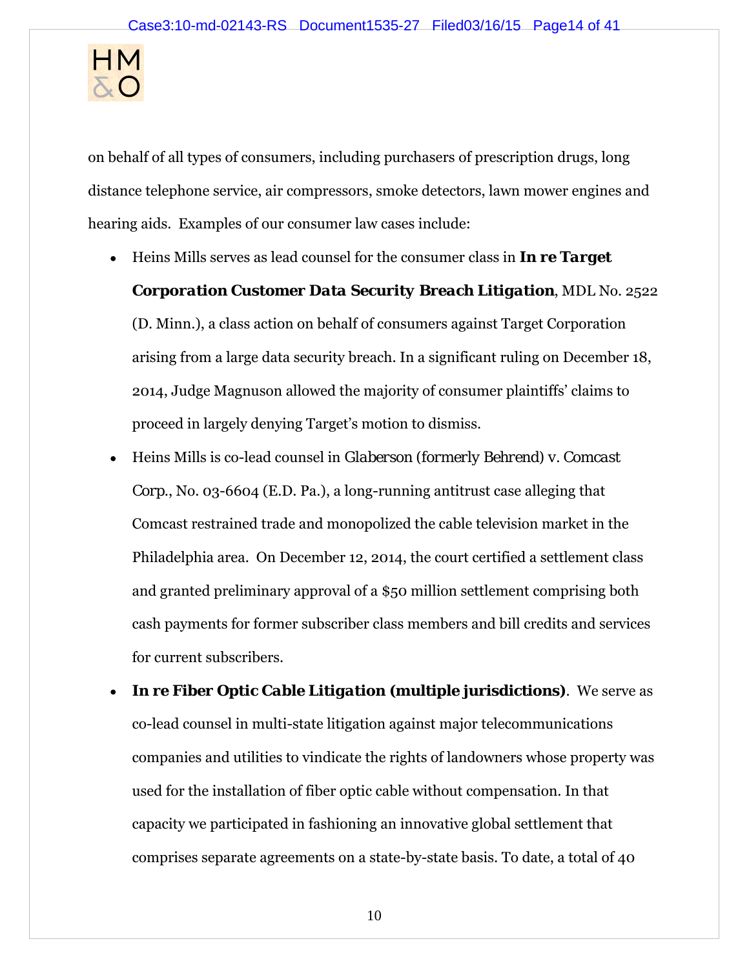

on behalf of all types of consumers, including purchasers of prescription drugs, long distance telephone service, air compressors, smoke detectors, lawn mower engines and hearing aids. Examples of our consumer law cases include:

Heins Mills serves as lead counsel for the consumer class in *In re Target* 

*Corporation Customer Data Security Breach Litigation*, MDL No. 2522 (D. Minn.), a class action on behalf of consumers against Target Corporation arising from a large data security breach. In a significant ruling on December 18, 2014, Judge Magnuson allowed the majority of consumer plaintiffs' claims to proceed in largely denying Target's motion to dismiss.

- Heins Mills is co-lead counsel in *Glaberson (formerly Behrend) v. Comcast Corp*., No. 03-6604 (E.D. Pa.), a long-running antitrust case alleging that Comcast restrained trade and monopolized the cable television market in the Philadelphia area. On December 12, 2014, the court certified a settlement class and granted preliminary approval of a \$50 million settlement comprising both cash payments for former subscriber class members and bill credits and services for current subscribers.
- *In re Fiber Optic Cable Litigation (***multiple jurisdictions)**. We serve as co-lead counsel in multi-state litigation against major telecommunications companies and utilities to vindicate the rights of landowners whose property was used for the installation of fiber optic cable without compensation. In that capacity we participated in fashioning an innovative global settlement that comprises separate agreements on a state-by-state basis. To date, a total of 40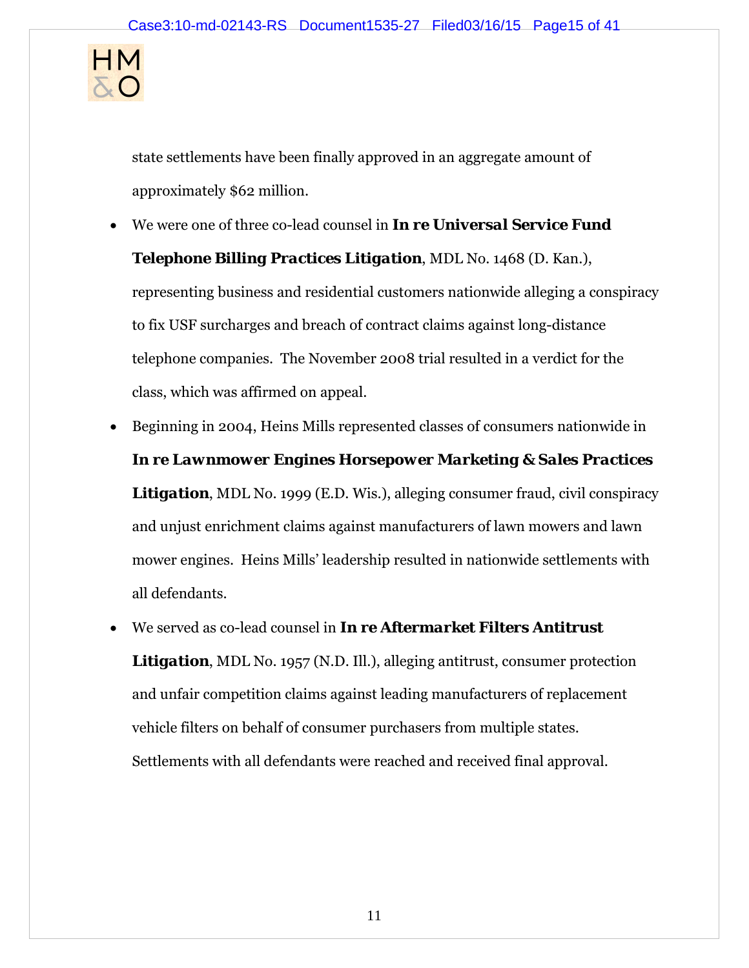

state settlements have been finally approved in an aggregate amount of approximately \$62 million.

- We were one of three co-lead counsel in *In re Universal Service Fund Telephone Billing Practices Litigation*, MDL No. 1468 (D. Kan.), representing business and residential customers nationwide alleging a conspiracy to fix USF surcharges and breach of contract claims against long-distance telephone companies. The November 2008 trial resulted in a verdict for the class, which was affirmed on appeal.
- Beginning in 2004, Heins Mills represented classes of consumers nationwide in *In re Lawnmower Engines Horsepower Marketing & Sales Practices Litigation*, MDL No. 1999 (E.D. Wis.), alleging consumer fraud, civil conspiracy and unjust enrichment claims against manufacturers of lawn mowers and lawn mower engines. Heins Mills' leadership resulted in nationwide settlements with all defendants.
- We served as co-lead counsel in *In re Aftermarket Filters Antitrust*  **Litigation**, MDL No. 1957 (N.D. Ill.), alleging antitrust, consumer protection and unfair competition claims against leading manufacturers of replacement vehicle filters on behalf of consumer purchasers from multiple states. Settlements with all defendants were reached and received final approval.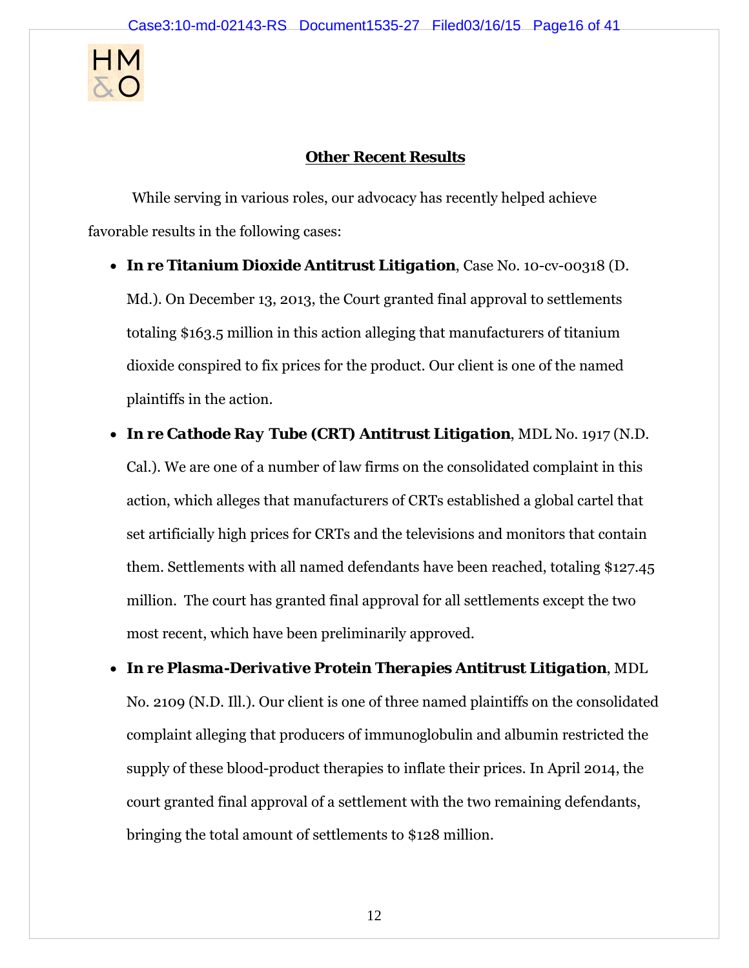

# **Other Recent Results**

 While serving in various roles, our advocacy has recently helped achieve favorable results in the following cases:

- *In re Titanium Dioxide Antitrust Litigation*, Case No. 10-cv-00318 (D. Md.). On December 13, 2013, the Court granted final approval to settlements totaling \$163.5 million in this action alleging that manufacturers of titanium dioxide conspired to fix prices for the product. Our client is one of the named plaintiffs in the action.
- *In re Cathode Ray Tube (CRT) Antitrust Litigation*, MDL No. 1917 (N.D. Cal.). We are one of a number of law firms on the consolidated complaint in this action, which alleges that manufacturers of CRTs established a global cartel that set artificially high prices for CRTs and the televisions and monitors that contain them. Settlements with all named defendants have been reached, totaling \$127.45 million. The court has granted final approval for all settlements except the two most recent, which have been preliminarily approved.
- *In re Plasma-Derivative Protein Therapies Antitrust Litigation*, MDL No. 2109 (N.D. Ill.). Our client is one of three named plaintiffs on the consolidated complaint alleging that producers of immunoglobulin and albumin restricted the supply of these blood-product therapies to inflate their prices. In April 2014, the court granted final approval of a settlement with the two remaining defendants, bringing the total amount of settlements to \$128 million.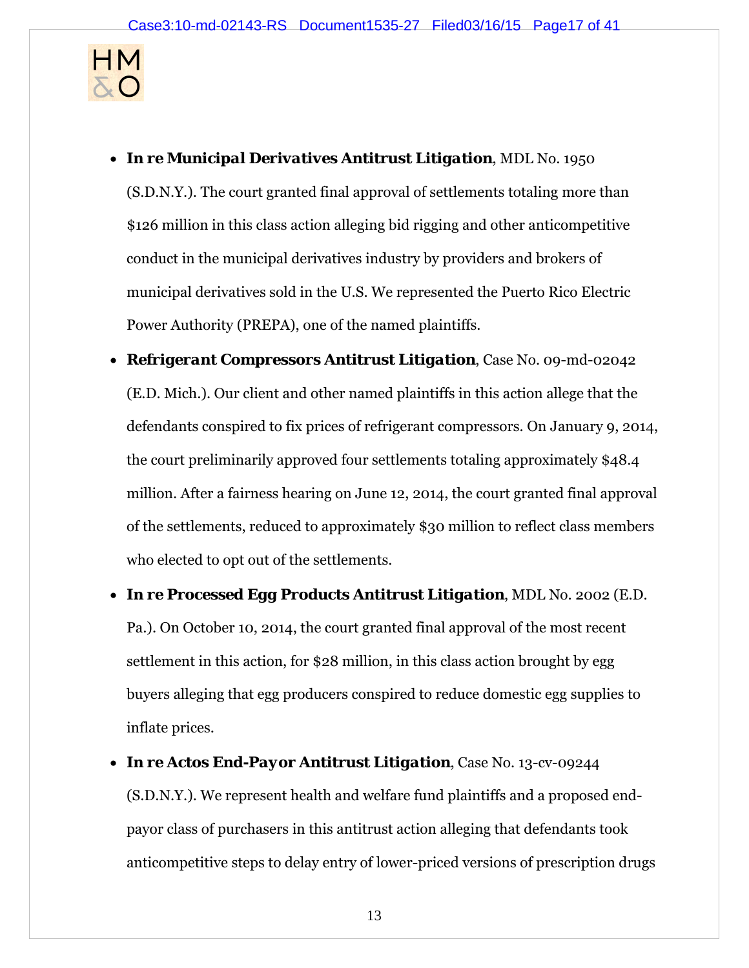

- *In re Municipal Derivatives Antitrust Litigation*, MDL No. 1950 (S.D.N.Y.). The court granted final approval of settlements totaling more than \$126 million in this class action alleging bid rigging and other anticompetitive conduct in the municipal derivatives industry by providers and brokers of municipal derivatives sold in the U.S. We represented the Puerto Rico Electric Power Authority (PREPA), one of the named plaintiffs.
- *Refrigerant Compressors Antitrust Litigation*, Case No. 09-md-02042 (E.D. Mich.). Our client and other named plaintiffs in this action allege that the defendants conspired to fix prices of refrigerant compressors. On January 9, 2014, the court preliminarily approved four settlements totaling approximately \$48.4 million. After a fairness hearing on June 12, 2014, the court granted final approval of the settlements, reduced to approximately \$30 million to reflect class members who elected to opt out of the settlements.
- *In re Processed Egg Products Antitrust Litigation*, MDL No. 2002 (E.D. Pa.). On October 10, 2014, the court granted final approval of the most recent settlement in this action, for \$28 million, in this class action brought by egg buyers alleging that egg producers conspired to reduce domestic egg supplies to inflate prices.
- *In re Actos End-Payor Antitrust Litigation*, Case No. 13-cv-09244 (S.D.N.Y.). We represent health and welfare fund plaintiffs and a proposed endpayor class of purchasers in this antitrust action alleging that defendants took anticompetitive steps to delay entry of lower-priced versions of prescription drugs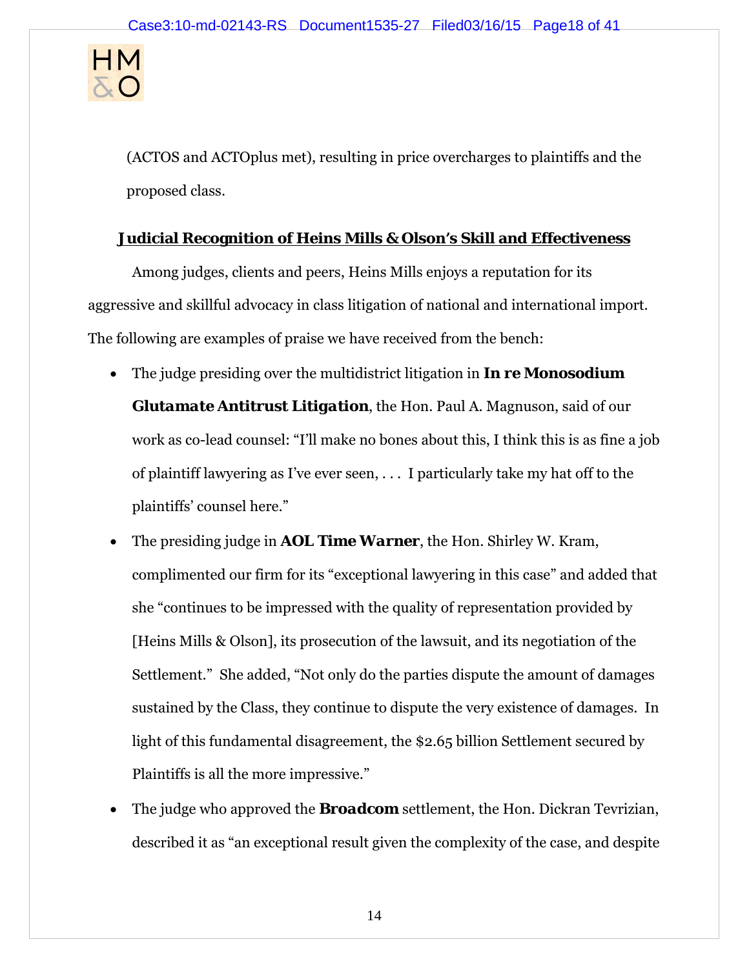

(ACTOS and ACTOplus met), resulting in price overcharges to plaintiffs and the proposed class.

# **Judicial Recognition of Heins Mills & Olson's Skill and Effectiveness**

Among judges, clients and peers, Heins Mills enjoys a reputation for its aggressive and skillful advocacy in class litigation of national and international import. The following are examples of praise we have received from the bench:

- The judge presiding over the multidistrict litigation in *In re Monosodium Glutamate Antitrust Litigation*, the Hon. Paul A. Magnuson, said of our work as co-lead counsel: "I'll make no bones about this, I think this is as fine a job of plaintiff lawyering as I've ever seen, . . . I particularly take my hat off to the plaintiffs' counsel here."
- The presiding judge in *AOL Time Warner*, the Hon. Shirley W. Kram, complimented our firm for its "exceptional lawyering in this case" and added that she "continues to be impressed with the quality of representation provided by [Heins Mills & Olson], its prosecution of the lawsuit, and its negotiation of the Settlement." She added, "Not only do the parties dispute the amount of damages sustained by the Class, they continue to dispute the very existence of damages. In light of this fundamental disagreement, the \$2.65 billion Settlement secured by Plaintiffs is all the more impressive."
- The judge who approved the *Broadcom* settlement, the Hon. Dickran Tevrizian, described it as "an exceptional result given the complexity of the case, and despite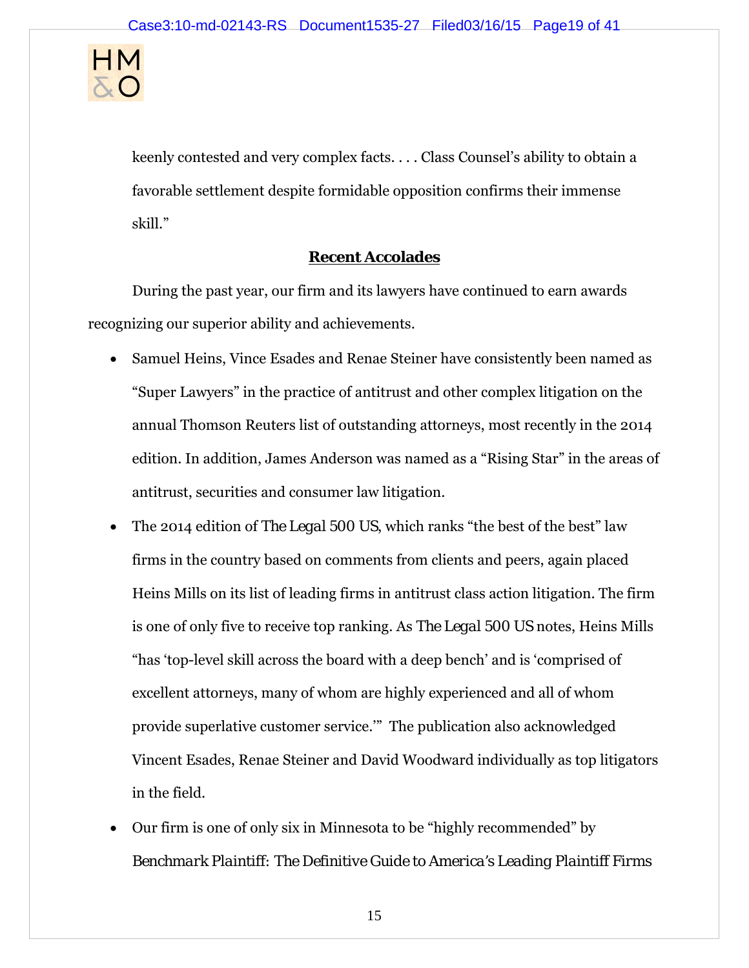

keenly contested and very complex facts. . . . Class Counsel's ability to obtain a favorable settlement despite formidable opposition confirms their immense skill."

## **Recent Accolades**

During the past year, our firm and its lawyers have continued to earn awards recognizing our superior ability and achievements.

- Samuel Heins, Vince Esades and Renae Steiner have consistently been named as "Super Lawyers" in the practice of antitrust and other complex litigation on the annual Thomson Reuters list of outstanding attorneys, most recently in the 2014 edition. In addition, James Anderson was named as a "Rising Star" in the areas of antitrust, securities and consumer law litigation.
- The 2014 edition of *The Legal 500 US*, which ranks "the best of the best" law firms in the country based on comments from clients and peers, again placed Heins Mills on its list of leading firms in antitrust class action litigation. The firm is one of only five to receive top ranking. As *The Legal 500 US* notes, Heins Mills "has 'top-level skill across the board with a deep bench' and is 'comprised of excellent attorneys, many of whom are highly experienced and all of whom provide superlative customer service.'" The publication also acknowledged Vincent Esades, Renae Steiner and David Woodward individually as top litigators in the field.
- Our firm is one of only six in Minnesota to be "highly recommended" by *Benchmark Plaintiff: The Definitive Guide to America's Leading Plaintiff Firms*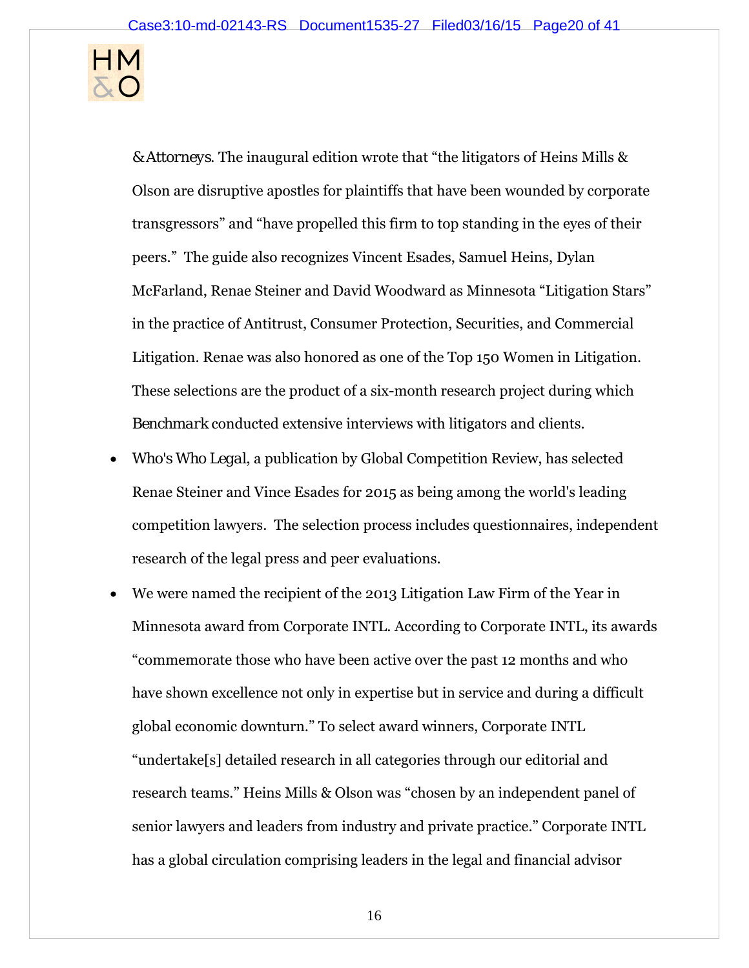

*& Attorneys*. The inaugural edition wrote that "the litigators of Heins Mills & Olson are disruptive apostles for plaintiffs that have been wounded by corporate transgressors" and "have propelled this firm to top standing in the eyes of their peers." The guide also recognizes Vincent Esades, Samuel Heins, Dylan McFarland, Renae Steiner and David Woodward as Minnesota "Litigation Stars" in the practice of Antitrust, Consumer Protection, Securities, and Commercial Litigation. Renae was also honored as one of the Top 150 Women in Litigation. These selections are the product of a six-month research project during which *Benchmark* conducted extensive interviews with litigators and clients.

- *Who's Who Legal*, a publication by Global Competition Review, has selected Renae Steiner and Vince Esades for 2015 as being among the world's leading competition lawyers. The selection process includes questionnaires, independent research of the legal press and peer evaluations.
- We were named the recipient of the 2013 Litigation Law Firm of the Year in Minnesota award from Corporate INTL. According to Corporate INTL, its awards "commemorate those who have been active over the past 12 months and who have shown excellence not only in expertise but in service and during a difficult global economic downturn." To select award winners, Corporate INTL "undertake[s] detailed research in all categories through our editorial and research teams." Heins Mills & Olson was "chosen by an independent panel of senior lawyers and leaders from industry and private practice." Corporate INTL has a global circulation comprising leaders in the legal and financial advisor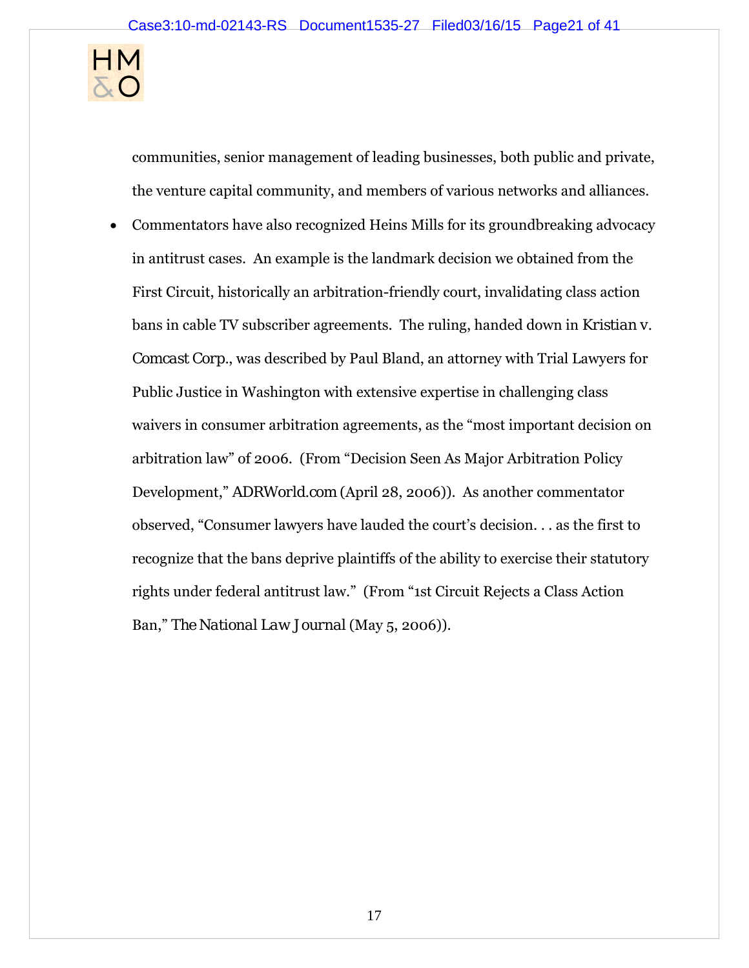

communities, senior management of leading businesses, both public and private, the venture capital community, and members of various networks and alliances.

 Commentators have also recognized Heins Mills for its groundbreaking advocacy in antitrust cases. An example is the landmark decision we obtained from the First Circuit, historically an arbitration-friendly court, invalidating class action bans in cable TV subscriber agreements. The ruling, handed down in *Kristian v. Comcast Corp.*, was described by Paul Bland, an attorney with Trial Lawyers for Public Justice in Washington with extensive expertise in challenging class waivers in consumer arbitration agreements, as the "most important decision on arbitration law" of 2006. (From "Decision Seen As Major Arbitration Policy Development," *ADRWorld.com* (April 28, 2006)). As another commentator observed, "Consumer lawyers have lauded the court's decision. . . as the first to recognize that the bans deprive plaintiffs of the ability to exercise their statutory rights under federal antitrust law." (From "1st Circuit Rejects a Class Action Ban," *The National Law Journal* (May 5, 2006)).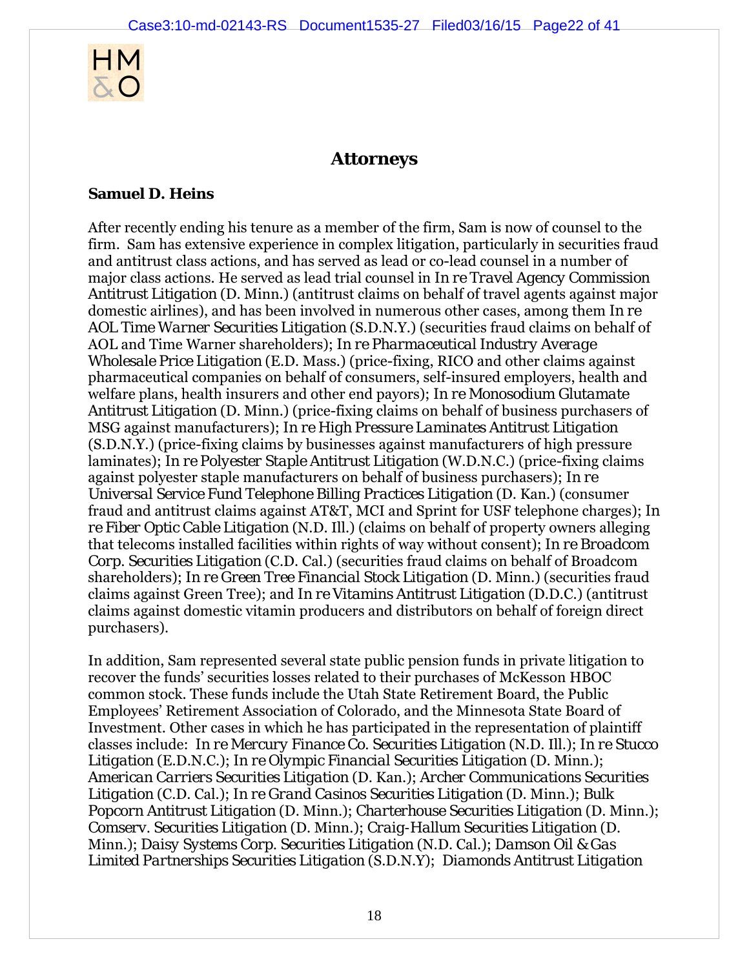

# **Attorneys**

#### **Samuel D. Heins**

After recently ending his tenure as a member of the firm, Sam is now of counsel to the firm. Sam has extensive experience in complex litigation, particularly in securities fraud and antitrust class actions, and has served as lead or co-lead counsel in a number of major class actions. He served as lead trial counsel in *In re Travel Agency Commission Antitrust Litigation* (D. Minn.) (antitrust claims on behalf of travel agents against major domestic airlines), and has been involved in numerous other cases, among them *In re AOL Time Warner Securities Litigation* (S.D.N.Y.) (securities fraud claims on behalf of AOL and Time Warner shareholders); *In re Pharmaceutical Industry Average Wholesale Price Litigation* (E.D. Mass.) (price-fixing, RICO and other claims against pharmaceutical companies on behalf of consumers, self-insured employers, health and welfare plans, health insurers and other end payors); *In re Monosodium Glutamate Antitrust Litigation* (D. Minn.) (price-fixing claims on behalf of business purchasers of MSG against manufacturers); *In re High Pressure Laminates Antitrust Litigation* (S.D.N.Y.) (price-fixing claims by businesses against manufacturers of high pressure laminates); *In re Polyester Staple Antitrust Litigation* (W.D.N.C.) (price-fixing claims against polyester staple manufacturers on behalf of business purchasers); *In re Universal Service Fund Telephone Billing Practices Litigation* (D. Kan.) (consumer fraud and antitrust claims against AT&T, MCI and Sprint for USF telephone charges); *In re Fiber Optic Cable Litigation* (N.D. Ill.) (claims on behalf of property owners alleging that telecoms installed facilities within rights of way without consent); *In re Broadcom Corp. Securities Litigation* (C.D. Cal.) (securities fraud claims on behalf of Broadcom shareholders); *In re Green Tree Financial Stock Litigation* (D. Minn.) (securities fraud claims against Green Tree); and *In re Vitamins Antitrust Litigation* (D.D.C.) (antitrust claims against domestic vitamin producers and distributors on behalf of foreign direct purchasers).

In addition, Sam represented several state public pension funds in private litigation to recover the funds' securities losses related to their purchases of McKesson HBOC common stock. These funds include the Utah State Retirement Board, the Public Employees' Retirement Association of Colorado, and the Minnesota State Board of Investment. Other cases in which he has participated in the representation of plaintiff classes include: *In re Mercury Finance Co. Securities Litigation* (N.D. Ill.); *In re Stucco Litigation* (E.D.N.C.); *In re Olympic Financial Securities Litigation* (D. Minn.); *American Carriers Securities Litigation* (D. Kan.); *Archer Communications Securities Litigation* (C.D. Cal.); *In re Grand Casinos Securities Litigation* (D. Minn.); *Bulk Popcorn Antitrust Litigation* (D. Minn.); *Charterhouse Securities Litigation* (D. Minn.); *Comserv. Securities Litigation* (D. Minn.); *Craig-Hallum Securities Litigation* (D. Minn.); *Daisy Systems Corp. Securities Litigation* (N.D. Cal.); *Damson Oil & Gas Limited Partnerships Securities Litigation* (S.D.N.Y); *Diamonds Antitrust Litigation*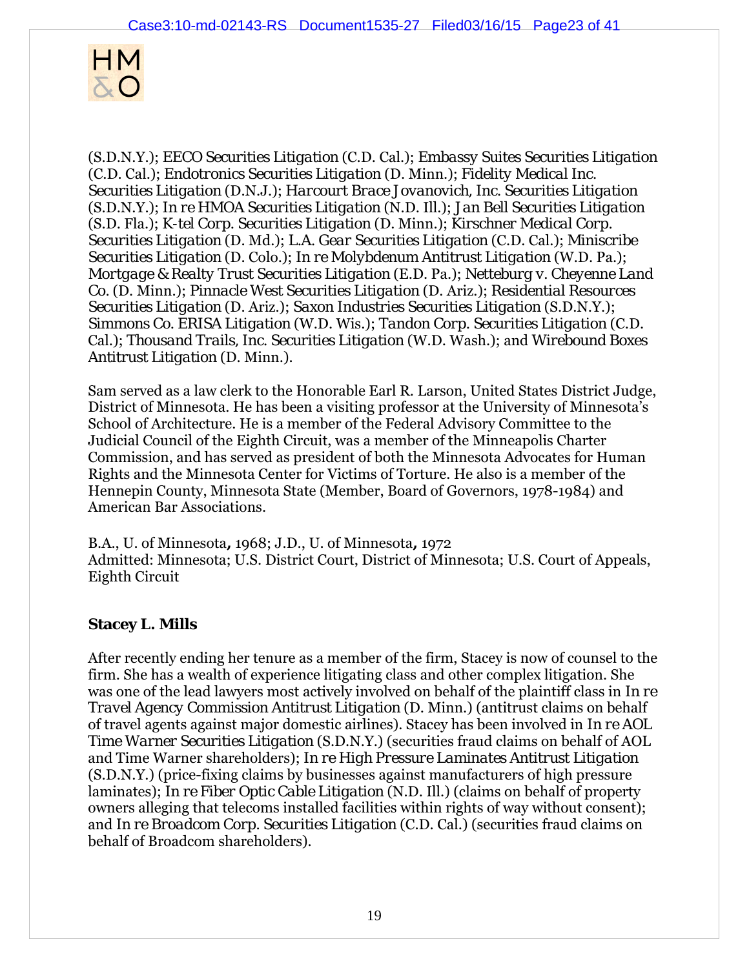

(S.D.N.Y.); *EECO Securities Litigation* (C.D. Cal.); *Embassy Suites Securities Litigation* (C.D. Cal.); *Endotronics Securities Litigation* (D. Minn.); *Fidelity Medical Inc. Securities Litigation* (D.N.J.); *Harcourt Brace Jovanovich, Inc. Securities Litigation* (S.D.N.Y.); *In re HMOA Securities Litigation* (N.D. Ill.); *Jan Bell Securities Litigation* (S.D. Fla.); *K-tel Corp. Securities Litigation* (D. Minn.); *Kirschner Medical Corp. Securities Litigation* (D. Md.); *L.A. Gear Securities Litigation* (C.D. Cal.); *Miniscribe Securities Litigation* (D. Colo.); *In re Molybdenum Antitrust Litigation* (W.D. Pa.); *Mortgage & Realty Trust Securities Litigation* (E.D. Pa.); *Netteburg v. Cheyenne Land Co.* (D. Minn.); *Pinnacle West Securities Litigation* (D. Ariz.); *Residential Resources Securities Litigation* (D. Ariz.); *Saxon Industries Securities Litigation* (S.D.N.Y.); *Simmons Co. ERISA Litigation* (W.D. Wis.); *Tandon Corp. Securities Litigation* (C.D. Cal.); *Thousand Trails, Inc. Securities Litigation* (W.D. Wash.); and *Wirebound Boxes Antitrust Litigation* (D. Minn.).

Sam served as a law clerk to the Honorable Earl R. Larson, United States District Judge, District of Minnesota. He has been a visiting professor at the University of Minnesota's School of Architecture. He is a member of the Federal Advisory Committee to the Judicial Council of the Eighth Circuit, was a member of the Minneapolis Charter Commission, and has served as president of both the Minnesota Advocates for Human Rights and the Minnesota Center for Victims of Torture. He also is a member of the Hennepin County, Minnesota State (Member, Board of Governors, 1978-1984) and American Bar Associations.

B.A., U. of Minnesota**,** 1968; J.D., U. of Minnesota**,** 1972 Admitted: Minnesota; U.S. District Court, District of Minnesota; U.S. Court of Appeals, Eighth Circuit

## **Stacey L. Mills**

After recently ending her tenure as a member of the firm, Stacey is now of counsel to the firm. She has a wealth of experience litigating class and other complex litigation. She was one of the lead lawyers most actively involved on behalf of the plaintiff class in *In re Travel Agency Commission Antitrust Litigation* (D. Minn.) (antitrust claims on behalf of travel agents against major domestic airlines). Stacey has been involved in *In re AOL Time Warner Securities Litigation* (S.D.N.Y.) (securities fraud claims on behalf of AOL and Time Warner shareholders); *In re High Pressure Laminates Antitrust Litigation* (S.D.N.Y.) (price-fixing claims by businesses against manufacturers of high pressure laminates); *In re Fiber Optic Cable Litigation* (N.D. Ill.) (claims on behalf of property owners alleging that telecoms installed facilities within rights of way without consent); and *In re Broadcom Corp. Securities Litigation* (C.D. Cal.) (securities fraud claims on behalf of Broadcom shareholders).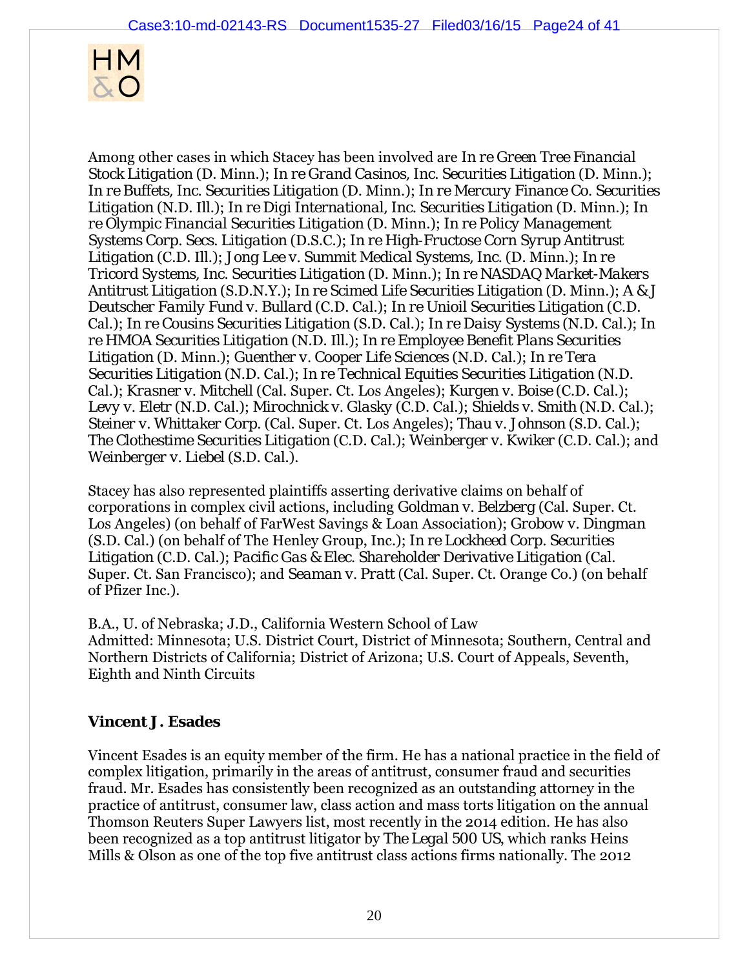

Among other cases in which Stacey has been involved are *In re Green Tree Financial Stock Litigation* (D. Minn.); *In re Grand Casinos, Inc. Securities Litigation* (D. Minn.); *In re Buffets, Inc. Securities Litigation* (D. Minn.); *In re Mercury Finance Co. Securities Litigation* (N.D. Ill.); *In re Digi International, Inc. Securities Litigation* (D. Minn.); *In re Olympic Financial Securities Litigation* (D. Minn.); *In re Policy Management Systems Corp. Secs. Litigation* (D.S.C.); *In re High-Fructose Corn Syrup Antitrust Litigation* (C.D. Ill.); *Jong Lee v. Summit Medical Systems, Inc.* (D. Minn.); *In re Tricord Systems, Inc. Securities Litigation* (D. Minn.); *In re NASDAQ Market-Makers Antitrust Litigation* (S.D.N.Y.); *In re Scimed Life Securities Litigation* (D. Minn.); *A & J Deutscher Family Fund v. Bullard* (C.D. Cal.); *In re Unioil Securities Litigation* (C.D. Cal.); *In re Cousins Securities Litigation* (S.D. Cal.); *In re Daisy Systems* (N.D. Cal.); *In re HMOA Securities Litigation* (N.D. Ill.); *In re Employee Benefit Plans Securities Litigation* (D. Minn.); *Guenther v. Cooper Life Sciences* (N.D. Cal.); *In re Tera Securities Litigation* (N.D. Cal.); *In re Technical Equities Securities Litigation* (N.D. Cal.); *Krasner v. Mitchell* (Cal. Super. Ct. Los Angeles); *Kurgen v. Boise* (C.D. Cal.); *Levy v. Eletr* (N.D. Cal.); *Mirochnick v. Glasky* (C.D. Cal.); *Shields v. Smith* (N.D. Cal.); *Steiner v. Whittaker Corp.* (Cal. Super. Ct. Los Angeles); *Thau v. Johnson* (S.D. Cal.); *The Clothestime Securities Litigation* (C.D. Cal.); *Weinberger v. Kwiker* (C.D. Cal.); and *Weinberger v. Liebel* (S.D. Cal.).

Stacey has also represented plaintiffs asserting derivative claims on behalf of corporations in complex civil actions, including *Goldman v. Belzberg* (Cal. Super. Ct. Los Angeles) (on behalf of FarWest Savings & Loan Association); *Grobow v. Dingman* (S.D. Cal.) (on behalf of The Henley Group, Inc.); *In re Lockheed Corp. Securities Litigation* (C.D. Cal.); *Pacific Gas & Elec. Shareholder Derivative Litigation* (Cal. Super. Ct. San Francisco); and *Seaman v. Pratt* (Cal. Super. Ct. Orange Co.) (on behalf of Pfizer Inc.).

B.A., U. of Nebraska; J.D., California Western School of Law Admitted: Minnesota; U.S. District Court, District of Minnesota; Southern, Central and Northern Districts of California; District of Arizona; U.S. Court of Appeals, Seventh, Eighth and Ninth Circuits

## **Vincent J. Esades**

Vincent Esades is an equity member of the firm. He has a national practice in the field of complex litigation, primarily in the areas of antitrust, consumer fraud and securities fraud. Mr. Esades has consistently been recognized as an outstanding attorney in the practice of antitrust, consumer law, class action and mass torts litigation on the annual Thomson Reuters Super Lawyers list, most recently in the 2014 edition. He has also been recognized as a top antitrust litigator by *The Legal 500 US*, which ranks Heins Mills & Olson as one of the top five antitrust class actions firms nationally. The 2012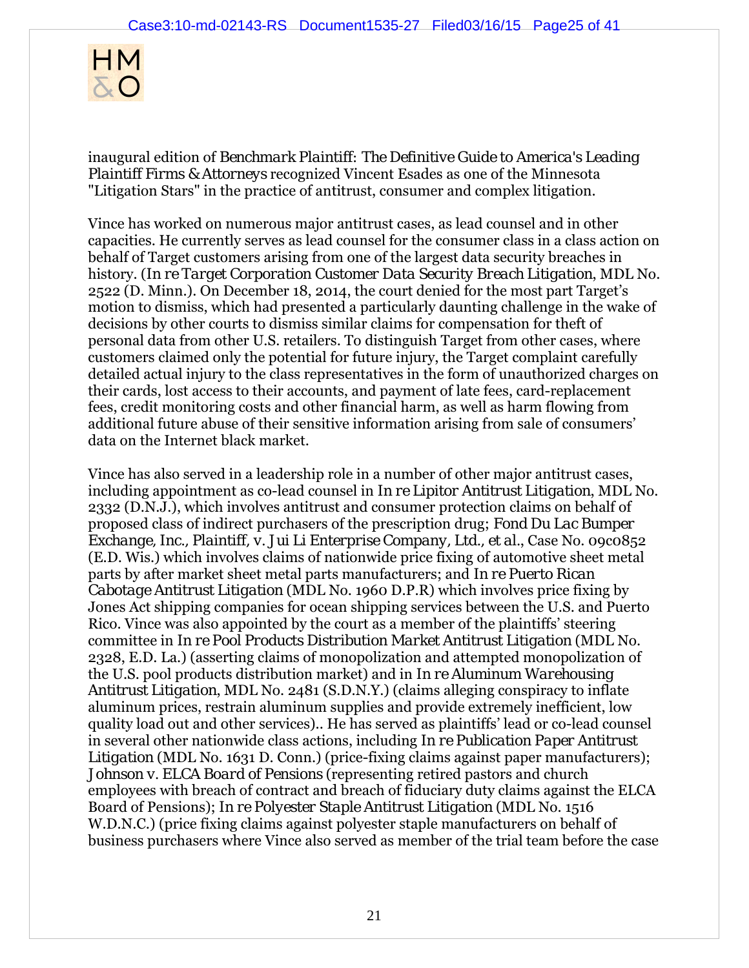

inaugural edition of *Benchmark Plaintiff: The Definitive Guide to America's Leading Plaintiff Firms & Attorneys* recognized Vincent Esades as one of the Minnesota "Litigation Stars" in the practice of antitrust, consumer and complex litigation.

Vince has worked on numerous major antitrust cases, as lead counsel and in other capacities. He currently serves as lead counsel for the consumer class in a class action on behalf of Target customers arising from one of the largest data security breaches in history. (*In re Target Corporation Customer Data Security Breach Litigation*, MDL No. 2522 (D. Minn.). On December 18, 2014, the court denied for the most part Target's motion to dismiss, which had presented a particularly daunting challenge in the wake of decisions by other courts to dismiss similar claims for compensation for theft of personal data from other U.S. retailers. To distinguish Target from other cases, where customers claimed only the potential for future injury, the Target complaint carefully detailed actual injury to the class representatives in the form of unauthorized charges on their cards, lost access to their accounts, and payment of late fees, card-replacement fees, credit monitoring costs and other financial harm, as well as harm flowing from additional future abuse of their sensitive information arising from sale of consumers' data on the Internet black market.

Vince has also served in a leadership role in a number of other major antitrust cases, including appointment as co-lead counsel in *In re Lipitor Antitrust Litigation*, MDL No. 2332 (D.N.J.), which involves antitrust and consumer protection claims on behalf of proposed class of indirect purchasers of the prescription drug; *Fond Du Lac Bumper Exchange, Inc., Plaintiff, v. Jui Li Enterprise Company, Ltd., et al.*, Case No. 09c0852 (E.D. Wis.) which involves claims of nationwide price fixing of automotive sheet metal parts by after market sheet metal parts manufacturers; and *In re Puerto Rican Cabotage Antitrust Litigation* (MDL No. 1960 D.P.R) which involves price fixing by Jones Act shipping companies for ocean shipping services between the U.S. and Puerto Rico. Vince was also appointed by the court as a member of the plaintiffs' steering committee in *In re Pool Products Distribution Market Antitrust Litigation* (MDL No. 2328, E.D. La.) (asserting claims of monopolization and attempted monopolization of the U.S. pool products distribution market) and in *In re Aluminum Warehousing Antitrust Litigation*, MDL No. 2481 (S.D.N.Y.) (claims alleging conspiracy to inflate aluminum prices, restrain aluminum supplies and provide extremely inefficient, low quality load out and other services).. He has served as plaintiffs' lead or co-lead counsel in several other nationwide class actions, including *In re Publication Paper Antitrust Litigation* (MDL No. 1631 D. Conn.) (price-fixing claims against paper manufacturers); *Johnson v. ELCA Board of Pensions* (representing retired pastors and church employees with breach of contract and breach of fiduciary duty claims against the ELCA Board of Pensions); *In re Polyester Staple Antitrust Litigation* (MDL No. 1516 W.D.N.C.) (price fixing claims against polyester staple manufacturers on behalf of business purchasers where Vince also served as member of the trial team before the case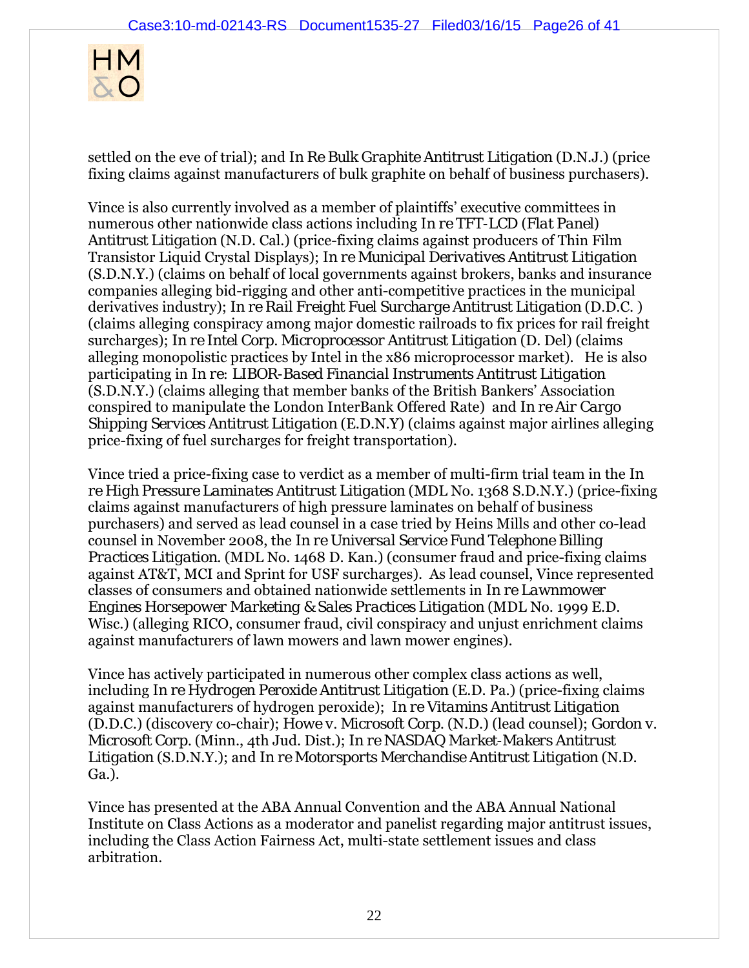

settled on the eve of trial); and *In Re Bulk Graphite Antitrust Litigation* (D.N.J.) (price fixing claims against manufacturers of bulk graphite on behalf of business purchasers).

Vince is also currently involved as a member of plaintiffs' executive committees in numerous other nationwide class actions including *In re TFT-LCD (Flat Panel) Antitrust Litigation* (N.D. Cal.) (price-fixing claims against producers of Thin Film Transistor Liquid Crystal Displays); *In re Municipal Derivatives Antitrust Litigation*  (S.D.N.Y.) (claims on behalf of local governments against brokers, banks and insurance companies alleging bid-rigging and other anti-competitive practices in the municipal derivatives industry); *In re Rail Freight Fuel Surcharge Antitrust Litigation* (D.D.C.) (claims alleging conspiracy among major domestic railroads to fix prices for rail freight surcharges); *In re Intel Corp. Microprocessor Antitrust Litigation* (D. Del) (claims alleging monopolistic practices by Intel in the x86 microprocessor market). He is also participating in *In re: LIBOR-Based Financial Instruments Antitrust Litigation*  (S.D.N.Y.) (claims alleging that member banks of the British Bankers' Association conspired to manipulate the London InterBank Offered Rate) and *In re Air Cargo Shipping Services Antitrust Litigation* (E.D.N.Y) (claims against major airlines alleging price-fixing of fuel surcharges for freight transportation).

Vince tried a price-fixing case to verdict as a member of multi-firm trial team in the *In re High Pressure Laminates Antitrust Litigation* (MDL No. 1368 S.D.N.Y.) (price-fixing claims against manufacturers of high pressure laminates on behalf of business purchasers) and served as lead counsel in a case tried by Heins Mills and other co-lead counsel in November 2008, the *In re Universal Service Fund Telephone Billing Practices Litigation*. (MDL No. 1468 D. Kan.) (consumer fraud and price-fixing claims against AT&T, MCI and Sprint for USF surcharges). As lead counsel, Vince represented classes of consumers and obtained nationwide settlements in *In re Lawnmower Engines Horsepower Marketing & Sales Practices Litigation* (MDL No. 1999 E.D. Wisc.) (alleging RICO, consumer fraud, civil conspiracy and unjust enrichment claims against manufacturers of lawn mowers and lawn mower engines).

Vince has actively participated in numerous other complex class actions as well, including *In re Hydrogen Peroxide Antitrust Litigation* (E.D. Pa.) (price-fixing claims against manufacturers of hydrogen peroxide); *In re Vitamins Antitrust Litigation* (D.D.C.) (discovery co-chair); *Howe v. Microsoft Corp.* (N.D.) (lead counsel); *Gordon v. Microsoft Corp.* (Minn., 4th Jud. Dist.); *In re NASDAQ Market-Makers Antitrust Litigation* (S.D.N.Y.); and *In re Motorsports Merchandise Antitrust Litigation* (N.D. Ga.).

Vince has presented at the ABA Annual Convention and the ABA Annual National Institute on Class Actions as a moderator and panelist regarding major antitrust issues, including the Class Action Fairness Act, multi-state settlement issues and class arbitration.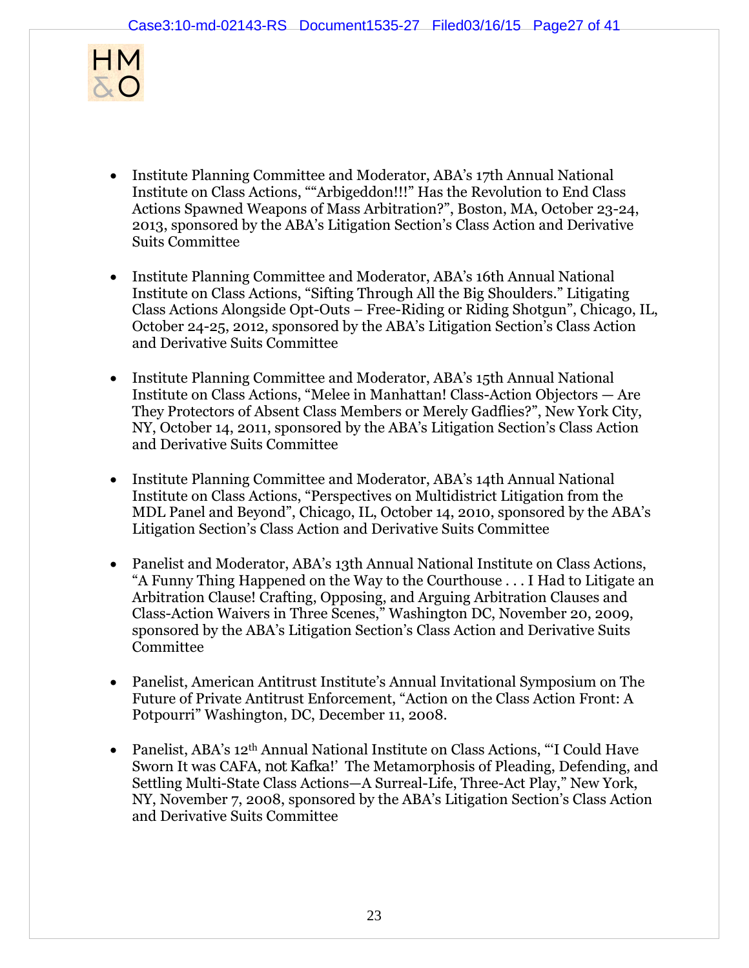

- Institute Planning Committee and Moderator, ABA's 17th Annual National Institute on Class Actions, ""Arbigeddon!!!" Has the Revolution to End Class Actions Spawned Weapons of Mass Arbitration?", Boston, MA, October 23-24, 2013, sponsored by the ABA's Litigation Section's Class Action and Derivative Suits Committee
- Institute Planning Committee and Moderator, ABA's 16th Annual National Institute on Class Actions, "Sifting Through All the Big Shoulders." Litigating Class Actions Alongside Opt-Outs – Free-Riding or Riding Shotgun", Chicago, IL, October 24-25, 2012, sponsored by the ABA's Litigation Section's Class Action and Derivative Suits Committee
- Institute Planning Committee and Moderator, ABA's 15th Annual National Institute on Class Actions, "Melee in Manhattan! Class-Action Objectors — Are They Protectors of Absent Class Members or Merely Gadflies?", New York City, NY, October 14, 2011, sponsored by the ABA's Litigation Section's Class Action and Derivative Suits Committee
- Institute Planning Committee and Moderator, ABA's 14th Annual National Institute on Class Actions, "Perspectives on Multidistrict Litigation from the MDL Panel and Beyond", Chicago, IL, October 14, 2010, sponsored by the ABA's Litigation Section's Class Action and Derivative Suits Committee
- Panelist and Moderator, ABA's 13th Annual National Institute on Class Actions, "A Funny Thing Happened on the Way to the Courthouse . . . I Had to Litigate an Arbitration Clause! Crafting, Opposing, and Arguing Arbitration Clauses and Class-Action Waivers in Three Scenes," Washington DC, November 20, 2009, sponsored by the ABA's Litigation Section's Class Action and Derivative Suits Committee
- Panelist, American Antitrust Institute's Annual Invitational Symposium on The Future of Private Antitrust Enforcement, "Action on the Class Action Front: A Potpourri" Washington, DC, December 11, 2008.
- Panelist, ABA's 12<sup>th</sup> Annual National Institute on Class Actions, "I Could Have Sworn It was CAFA, *not Kafka*!' The Metamorphosis of Pleading, Defending, and Settling Multi-State Class Actions—A Surreal-Life, Three-Act Play," New York, NY, November 7, 2008, sponsored by the ABA's Litigation Section's Class Action and Derivative Suits Committee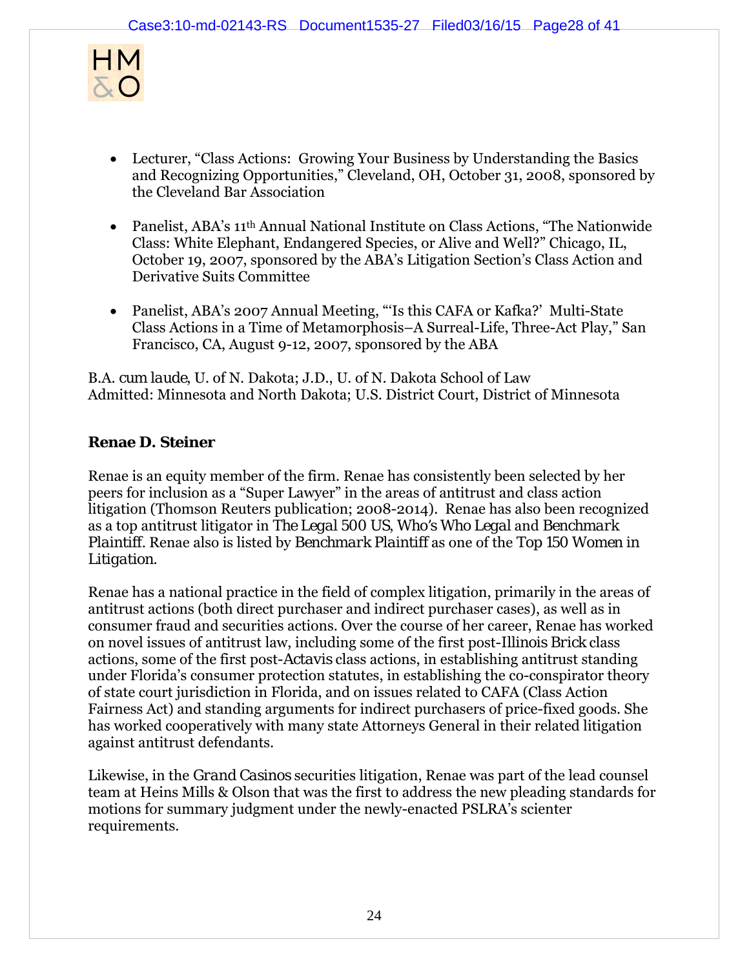

- Lecturer, "Class Actions: Growing Your Business by Understanding the Basics and Recognizing Opportunities," Cleveland, OH, October 31, 2008, sponsored by the Cleveland Bar Association
- Panelist, ABA's 11<sup>th</sup> Annual National Institute on Class Actions, "The Nationwide Class: White Elephant, Endangered Species, or Alive and Well?" Chicago, IL, October 19, 2007, sponsored by the ABA's Litigation Section's Class Action and Derivative Suits Committee
- Panelist, ABA's 2007 Annual Meeting, "Is this CAFA or Kafka?' Multi-State Class Actions in a Time of Metamorphosis–A Surreal-Life, Three-Act Play," San Francisco, CA, August 9-12, 2007, sponsored by the ABA

B.A. *cum laude*, U. of N. Dakota; J.D., U. of N. Dakota School of Law Admitted: Minnesota and North Dakota; U.S. District Court, District of Minnesota

# **Renae D. Steiner**

Renae is an equity member of the firm. Renae has consistently been selected by her peers for inclusion as a "Super Lawyer" in the areas of antitrust and class action litigation (Thomson Reuters publication; 2008-2014). Renae has also been recognized as a top antitrust litigator in *The Legal 500 US*, *Who's Who Legal* and *Benchmark Plaintiff.* Renae also is listed by *Benchmark Plaintiff* as one of the *Top 150 Women in Litigation*.

Renae has a national practice in the field of complex litigation, primarily in the areas of antitrust actions (both direct purchaser and indirect purchaser cases), as well as in consumer fraud and securities actions. Over the course of her career, Renae has worked on novel issues of antitrust law, including some of the first post-*Illinois Brick* class actions, some of the first post-*Actavis* class actions, in establishing antitrust standing under Florida's consumer protection statutes, in establishing the co-conspirator theory of state court jurisdiction in Florida, and on issues related to CAFA (Class Action Fairness Act) and standing arguments for indirect purchasers of price-fixed goods. She has worked cooperatively with many state Attorneys General in their related litigation against antitrust defendants.

Likewise, in the *Grand Casinos* securities litigation, Renae was part of the lead counsel team at Heins Mills & Olson that was the first to address the new pleading standards for motions for summary judgment under the newly-enacted PSLRA's scienter requirements.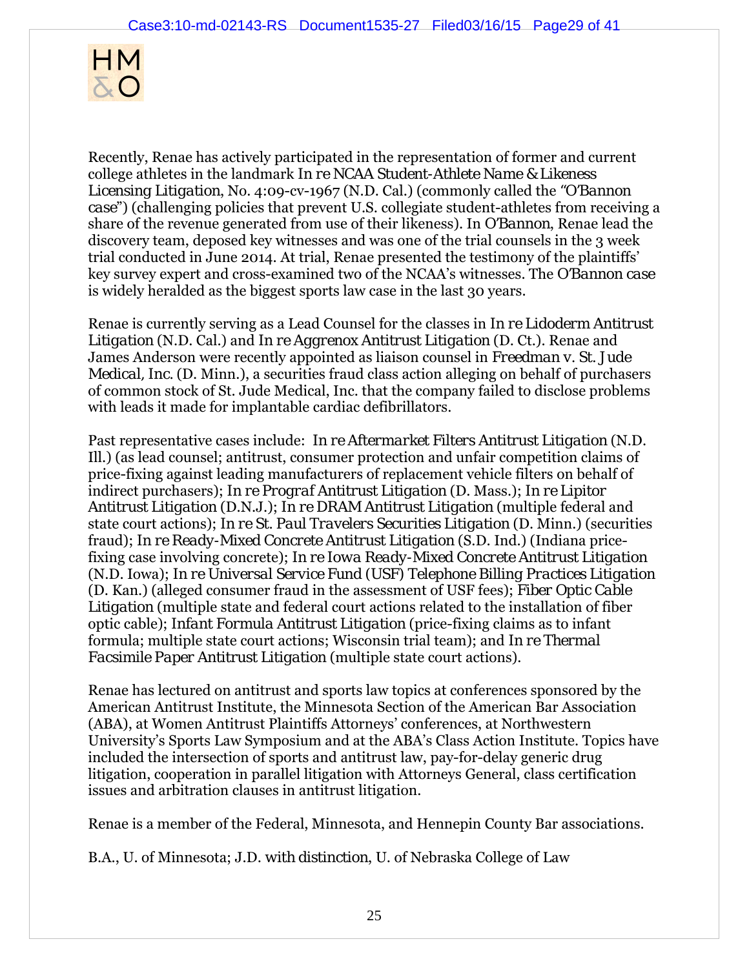

Recently, Renae has actively participated in the representation of former and current college athletes in the landmark *In re NCAA Student-Athlete Name & Likeness Licensing Litigation*, No. 4:09-cv-1967 (N.D. Cal.) (commonly called the *"O'Bannon case*") (challenging policies that prevent U.S. collegiate student-athletes from receiving a share of the revenue generated from use of their likeness). In *O'Bannon*, Renae lead the discovery team, deposed key witnesses and was one of the trial counsels in the 3 week trial conducted in June 2014. At trial, Renae presented the testimony of the plaintiffs' key survey expert and cross-examined two of the NCAA's witnesses. The *O'Bannon case* is widely heralded as the biggest sports law case in the last 30 years.

Renae is currently serving as a Lead Counsel for the classes in *In re Lidoderm Antitrust Litigation* (N.D. Cal.) and *In re Aggrenox Antitrust Litigation* (D. Ct.). Renae and James Anderson were recently appointed as liaison counsel in *Freedman v. St. Jude Medical, Inc.* (D. Minn.), a securities fraud class action alleging on behalf of purchasers of common stock of St. Jude Medical, Inc. that the company failed to disclose problems with leads it made for implantable cardiac defibrillators.

Past representative cases include: *In re Aftermarket Filters Antitrust Litigation* (N.D. Ill.) (as lead counsel; antitrust, consumer protection and unfair competition claims of price-fixing against leading manufacturers of replacement vehicle filters on behalf of indirect purchasers); *In re Prograf Antitrust Litigation* (D. Mass.); *In re Lipitor Antitrust Litigation* (D.N.J.); *In re DRAM Antitrust Litigation* (multiple federal and state court actions); *In re St. Paul Travelers Securities Litigation* (D. Minn.) (securities fraud); *In re Ready-Mixed Concrete Antitrust Litigation* (S.D. Ind.) (Indiana pricefixing case involving concrete); *In re Iowa Ready-Mixed Concrete Antitrust Litigation* (N.D. Iowa); *In re Universal Service Fund (USF) Telephone Billing Practices Litigation* (D. Kan.) (alleged consumer fraud in the assessment of USF fees); *Fiber Optic Cable Litigation* (multiple state and federal court actions related to the installation of fiber optic cable); *Infant Formula Antitrust Litigation* (price-fixing claims as to infant formula; multiple state court actions; Wisconsin trial team); and *In re Thermal Facsimile Paper Antitrust Litigation* (multiple state court actions).

Renae has lectured on antitrust and sports law topics at conferences sponsored by the American Antitrust Institute, the Minnesota Section of the American Bar Association (ABA), at Women Antitrust Plaintiffs Attorneys' conferences, at Northwestern University's Sports Law Symposium and at the ABA's Class Action Institute. Topics have included the intersection of sports and antitrust law, pay-for-delay generic drug litigation, cooperation in parallel litigation with Attorneys General, class certification issues and arbitration clauses in antitrust litigation.

Renae is a member of the Federal, Minnesota, and Hennepin County Bar associations.

B.A., U. of Minnesota; J.D. *with distinction*, U. of Nebraska College of Law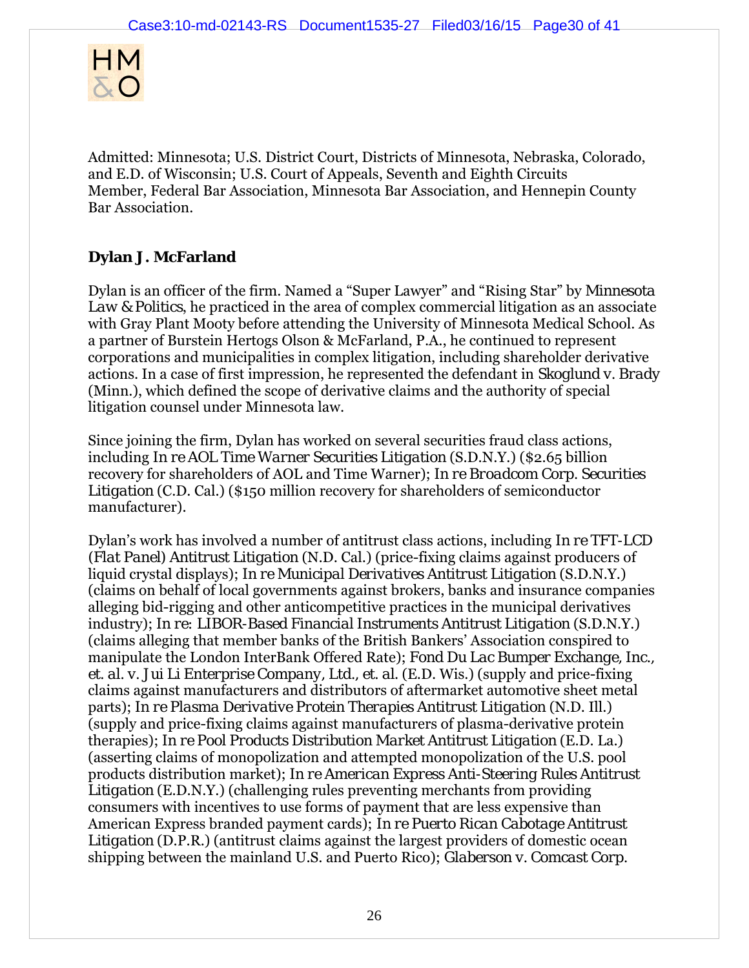

Admitted: Minnesota; U.S. District Court, Districts of Minnesota, Nebraska, Colorado, and E.D. of Wisconsin; U.S. Court of Appeals, Seventh and Eighth Circuits Member, Federal Bar Association, Minnesota Bar Association, and Hennepin County Bar Association.

# **Dylan J. McFarland**

Dylan is an officer of the firm. Named a "Super Lawyer" and "Rising Star" by *Minnesota Law & Politics*, he practiced in the area of complex commercial litigation as an associate with Gray Plant Mooty before attending the University of Minnesota Medical School. As a partner of Burstein Hertogs Olson & McFarland, P.A., he continued to represent corporations and municipalities in complex litigation, including shareholder derivative actions. In a case of first impression, he represented the defendant in *Skoglund v. Brady* (Minn.), which defined the scope of derivative claims and the authority of special litigation counsel under Minnesota law.

Since joining the firm, Dylan has worked on several securities fraud class actions, including *In re AOL Time Warner Securities Litigation* (S.D.N.Y.) (\$2.65 billion recovery for shareholders of AOL and Time Warner); *In re Broadcom Corp. Securities Litigation* (C.D. Cal.) (\$150 million recovery for shareholders of semiconductor manufacturer).

Dylan's work has involved a number of antitrust class actions, including *In re TFT-LCD (Flat Panel) Antitrust Litigation* (N.D. Cal.) (price-fixing claims against producers of liquid crystal displays); *In re Municipal Derivatives Antitrust Litigation* (S.D.N.Y.) (claims on behalf of local governments against brokers, banks and insurance companies alleging bid-rigging and other anticompetitive practices in the municipal derivatives industry); *In re: LIBOR-Based Financial Instruments Antitrust Litigation* (S.D.N.Y.) (claims alleging that member banks of the British Bankers' Association conspired to manipulate the London InterBank Offered Rate); *Fond Du Lac Bumper Exchange, Inc., et. al. v. Jui Li Enterprise Company, Ltd., et. al*. (E.D. Wis.) (supply and price-fixing claims against manufacturers and distributors of aftermarket automotive sheet metal parts); *In re Plasma Derivative Protein Therapies Antitrust Litigation* (N.D. Ill.) (supply and price-fixing claims against manufacturers of plasma-derivative protein therapies); *In re Pool Products Distribution Market Antitrust Litigation* (E.D. La.) (asserting claims of monopolization and attempted monopolization of the U.S. pool products distribution market); *In re American Express Anti-Steering Rules Antitrust Litigation* (E.D.N.Y.) (challenging rules preventing merchants from providing consumers with incentives to use forms of payment that are less expensive than American Express branded payment cards); *In re Puerto Rican Cabotage Antitrust*  Litigation (D.P.R.) (antitrust claims against the largest providers of domestic ocean shipping between the mainland U.S. and Puerto Rico); *Glaberson v. Comcast Corp.*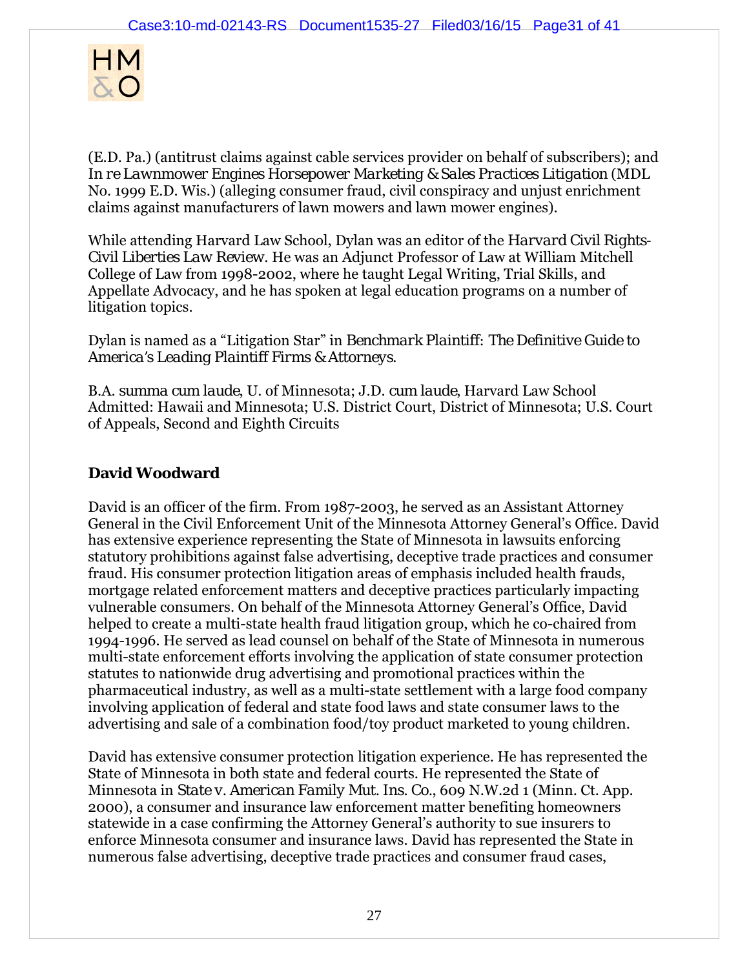

(E.D. Pa.) (antitrust claims against cable services provider on behalf of subscribers); and *In re Lawnmower Engines Horsepower Marketing & Sales Practices Litigation* (MDL No. 1999 E.D. Wis.) (alleging consumer fraud, civil conspiracy and unjust enrichment claims against manufacturers of lawn mowers and lawn mower engines).

While attending Harvard Law School, Dylan was an editor of the *Harvard Civil Rights-Civil Liberties Law Review*. He was an Adjunct Professor of Law at William Mitchell College of Law from 1998-2002, where he taught Legal Writing, Trial Skills, and Appellate Advocacy, and he has spoken at legal education programs on a number of litigation topics.

Dylan is named as a "Litigation Star" in *Benchmark Plaintiff: The Definitive Guide to America's Leading Plaintiff Firms & Attorneys*.

B.A. *summa cum laude*, U. of Minnesota; J.D. *cum laude*, Harvard Law School Admitted: Hawaii and Minnesota; U.S. District Court, District of Minnesota; U.S. Court of Appeals, Second and Eighth Circuits

# **David Woodward**

David is an officer of the firm. From 1987-2003, he served as an Assistant Attorney General in the Civil Enforcement Unit of the Minnesota Attorney General's Office. David has extensive experience representing the State of Minnesota in lawsuits enforcing statutory prohibitions against false advertising, deceptive trade practices and consumer fraud. His consumer protection litigation areas of emphasis included health frauds, mortgage related enforcement matters and deceptive practices particularly impacting vulnerable consumers. On behalf of the Minnesota Attorney General's Office, David helped to create a multi-state health fraud litigation group, which he co-chaired from 1994-1996. He served as lead counsel on behalf of the State of Minnesota in numerous multi-state enforcement efforts involving the application of state consumer protection statutes to nationwide drug advertising and promotional practices within the pharmaceutical industry, as well as a multi-state settlement with a large food company involving application of federal and state food laws and state consumer laws to the advertising and sale of a combination food/toy product marketed to young children.

David has extensive consumer protection litigation experience. He has represented the State of Minnesota in both state and federal courts. He represented the State of Minnesota in *State v. American Family Mut. Ins. Co.*, 609 N.W.2d 1 (Minn. Ct. App. 2000), a consumer and insurance law enforcement matter benefiting homeowners statewide in a case confirming the Attorney General's authority to sue insurers to enforce Minnesota consumer and insurance laws. David has represented the State in numerous false advertising, deceptive trade practices and consumer fraud cases,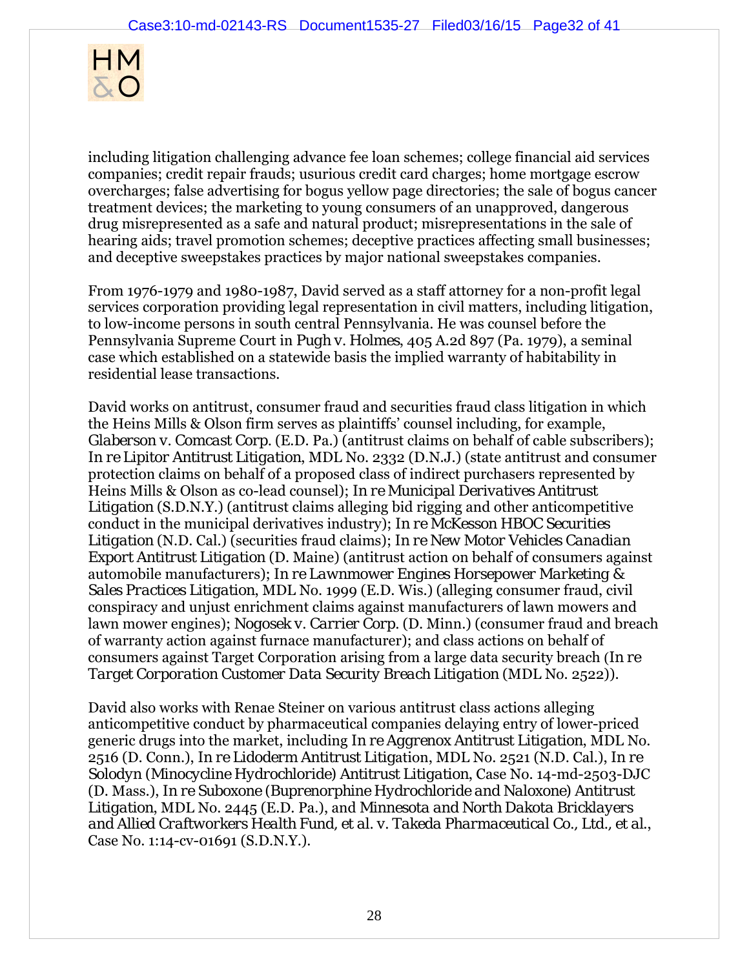

including litigation challenging advance fee loan schemes; college financial aid services companies; credit repair frauds; usurious credit card charges; home mortgage escrow overcharges; false advertising for bogus yellow page directories; the sale of bogus cancer treatment devices; the marketing to young consumers of an unapproved, dangerous drug misrepresented as a safe and natural product; misrepresentations in the sale of hearing aids; travel promotion schemes; deceptive practices affecting small businesses; and deceptive sweepstakes practices by major national sweepstakes companies.

From 1976-1979 and 1980-1987, David served as a staff attorney for a non-profit legal services corporation providing legal representation in civil matters, including litigation, to low-income persons in south central Pennsylvania. He was counsel before the Pennsylvania Supreme Court in *Pugh v. Holmes*, 405 A.2d 897 (Pa. 1979), a seminal case which established on a statewide basis the implied warranty of habitability in residential lease transactions.

David works on antitrust, consumer fraud and securities fraud class litigation in which the Heins Mills & Olson firm serves as plaintiffs' counsel including, for example, *Glaberson v. Comcast Corp.* (E.D. Pa.) (antitrust claims on behalf of cable subscribers); *In re Lipitor Antitrust Litigation*, MDL No. 2332 (D.N.J.) (state antitrust and consumer protection claims on behalf of a proposed class of indirect purchasers represented by Heins Mills & Olson as co-lead counsel); *In re Municipal Derivatives Antitrust Litigation* (S.D.N.Y.) (antitrust claims alleging bid rigging and other anticompetitive conduct in the municipal derivatives industry); *In re McKesson HBOC Securities Litigation* (N.D. Cal.) (securities fraud claims); *In re New Motor Vehicles Canadian Export Antitrust Litigation* (D. Maine) (antitrust action on behalf of consumers against automobile manufacturers); *In re Lawnmower Engines Horsepower Marketing & Sales Practices Litigation*, MDL No. 1999 (E.D. Wis.) (alleging consumer fraud, civil conspiracy and unjust enrichment claims against manufacturers of lawn mowers and lawn mower engines); *Nogosek v. Carrier Corp.* (D. Minn.) (consumer fraud and breach of warranty action against furnace manufacturer); and class actions on behalf of consumers against Target Corporation arising from a large data security breach (*In re Target Corporation Customer Data Security Breach Litigation* (MDL No. 2522)).

David also works with Renae Steiner on various antitrust class actions alleging anticompetitive conduct by pharmaceutical companies delaying entry of lower-priced generic drugs into the market, including *In re Aggrenox Antitrust Litigation*, MDL No. 2516 (D. Conn.), *In re Lidoderm Antitrust Litig*ation, MDL No. 2521 (N.D. Cal.), *In re Solodyn (Minocycline Hydrochloride) Antitrust Litigation*, Case No. 14-md-2503-DJC (D. Mass.), *In re Suboxone (Buprenorphine Hydrochloride and Naloxone) Antitrust Litigation*, MDL No. 2445 (E.D. Pa.), and *Minnesota and North Dakota Bricklayers and Allied Craftworkers Health Fund, et al. v. Takeda Pharmaceutical Co., Ltd., et al*., Case No. 1:14-cv-01691 (S.D.N.Y.).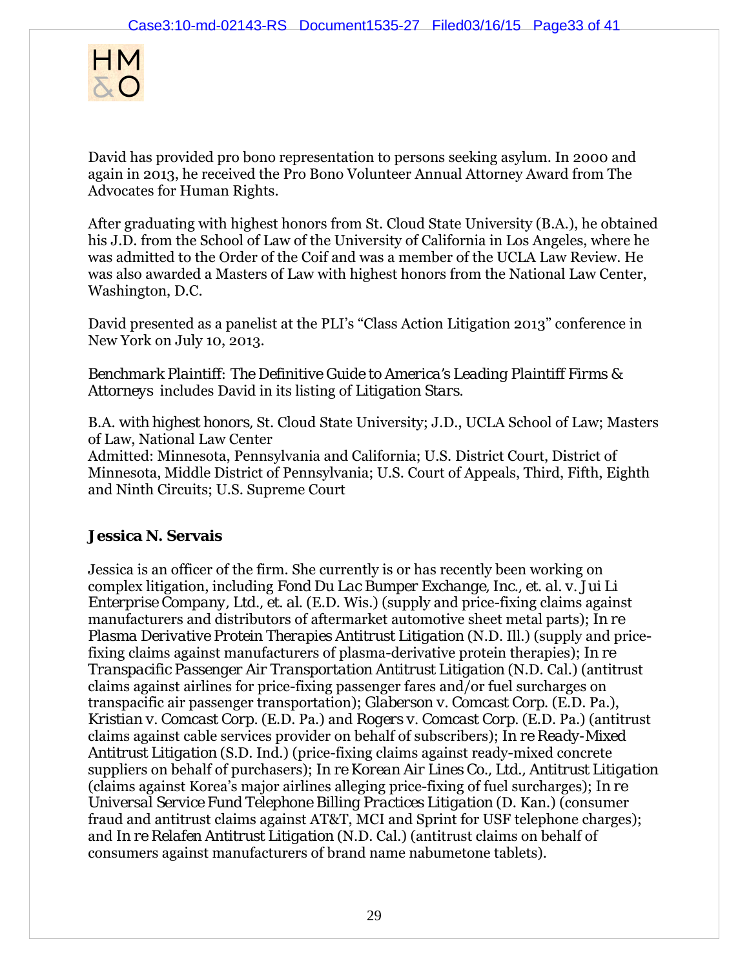

David has provided pro bono representation to persons seeking asylum. In 2000 and again in 2013, he received the Pro Bono Volunteer Annual Attorney Award from The Advocates for Human Rights.

After graduating with highest honors from St. Cloud State University (B.A.), he obtained his J.D. from the School of Law of the University of California in Los Angeles, where he was admitted to the Order of the Coif and was a member of the UCLA Law Review. He was also awarded a Masters of Law with highest honors from the National Law Center, Washington, D.C.

David presented as a panelist at the PLI's "Class Action Litigation 2013" conference in New York on July 10, 2013.

*Benchmark Plaintiff: The Definitive Guide to America's Leading Plaintiff Firms & Attorneys* includes David in its listing of *Litigation Stars.*

B.A. *with highest honors,* St. Cloud State University; J.D., UCLA School of Law; Masters of Law, National Law Center

Admitted: Minnesota, Pennsylvania and California; U.S. District Court, District of Minnesota, Middle District of Pennsylvania; U.S. Court of Appeals, Third, Fifth, Eighth and Ninth Circuits; U.S. Supreme Court

## **Jessica N. Servais**

Jessica is an officer of the firm. She currently is or has recently been working on complex litigation, including *Fond Du Lac Bumper Exchange, Inc., et. al. v. Jui Li Enterprise Company, Ltd., et. al*. (E.D. Wis.) (supply and price-fixing claims against manufacturers and distributors of aftermarket automotive sheet metal parts); *In re Plasma Derivative Protein Therapies Antitrust Litigation* (N.D. Ill.) (supply and pricefixing claims against manufacturers of plasma-derivative protein therapies); *In re Transpacific Passenger Air Transportation Antitrust Litigation* (N.D. Cal.) (antitrust claims against airlines for price-fixing passenger fares and/or fuel surcharges on transpacific air passenger transportation); *Glaberson v. Comcast Corp*. (E.D. Pa.), *Kristian v. Comcast Corp.* (E.D. Pa.) and *Rogers v. Comcast Corp.* (E.D. Pa.) (antitrust claims against cable services provider on behalf of subscribers); *In re Ready-Mixed Antitrust Litigation* (S.D. Ind.) (price-fixing claims against ready-mixed concrete suppliers on behalf of purchasers); *In re Korean Air Lines Co., Ltd., Antitrust Litigation* (claims against Korea's major airlines alleging price-fixing of fuel surcharges); *In re Universal Service Fund Telephone Billing Practices Litigation* (D. Kan.) (consumer fraud and antitrust claims against AT&T, MCI and Sprint for USF telephone charges); and *In re Relafen Antitrust Litigation* (N.D. Cal.) (antitrust claims on behalf of consumers against manufacturers of brand name nabumetone tablets).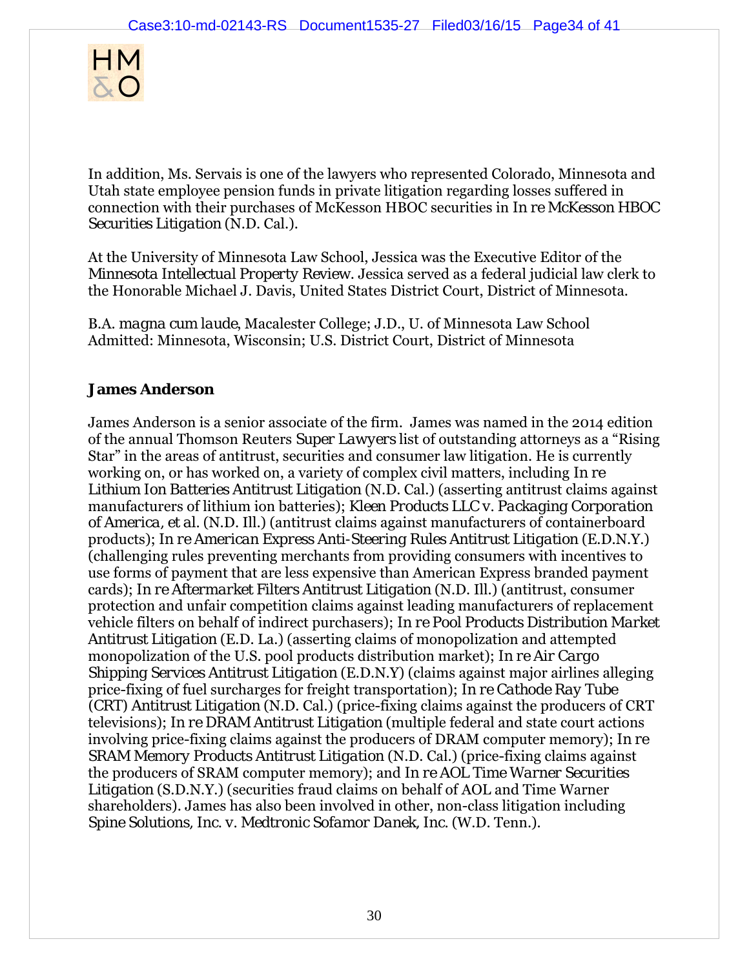

In addition, Ms. Servais is one of the lawyers who represented Colorado, Minnesota and Utah state employee pension funds in private litigation regarding losses suffered in connection with their purchases of McKesson HBOC securities in *In re McKesson HBOC Securities Litigation* (N.D. Cal.).

At the University of Minnesota Law School, Jessica was the Executive Editor of the *Minnesota Intellectual Property Review*. Jessica served as a federal judicial law clerk to the Honorable Michael J. Davis, United States District Court, District of Minnesota.

B.A. *magna cum laude*, Macalester College; J.D., U. of Minnesota Law School Admitted: Minnesota, Wisconsin; U.S. District Court, District of Minnesota

# **James Anderson**

James Anderson is a senior associate of the firm. James was named in the 2014 edition of the annual Thomson Reuters *Super Lawyers* list of outstanding attorneys as a "Rising Star" in the areas of antitrust, securities and consumer law litigation. He is currently working on, or has worked on, a variety of complex civil matters, including *In re Lithium Ion Batteries Antitrust Litigation* (N.D. Cal.) (asserting antitrust claims against manufacturers of lithium ion batteries); *Kleen Products LLC v. Packaging Corporation of America, et al.* (N.D. Ill.) (antitrust claims against manufacturers of containerboard products); *In re American Express Anti-Steering Rules Antitrust Litigation* (E.D.N.Y.) (challenging rules preventing merchants from providing consumers with incentives to use forms of payment that are less expensive than American Express branded payment cards); *In re Aftermarket Filters Antitrust Litigation* (N.D. Ill.) (antitrust, consumer protection and unfair competition claims against leading manufacturers of replacement vehicle filters on behalf of indirect purchasers); *In re Pool Products Distribution Market Antitrust Litigation* (E.D. La.) (asserting claims of monopolization and attempted monopolization of the U.S. pool products distribution market); *In re Air Cargo Shipping Services Antitrust Litigation* (E.D.N.Y) (claims against major airlines alleging price-fixing of fuel surcharges for freight transportation); *In re Cathode Ray Tube (CRT) Antitrust Litigation* (N.D. Cal.) (price-fixing claims against the producers of CRT televisions); *In re DRAM Antitrust Litigation* (multiple federal and state court actions involving price-fixing claims against the producers of DRAM computer memory); *In re SRAM Memory Products Antitrust Litigation* (N.D. Cal.) (price-fixing claims against the producers of SRAM computer memory); and *In re AOL Time Warner Securities Litigation* (S.D.N.Y.) (securities fraud claims on behalf of AOL and Time Warner shareholders). James has also been involved in other, non-class litigation including *Spine Solutions, Inc. v. Medtronic Sofamor Danek, Inc.* (W.D. Tenn.).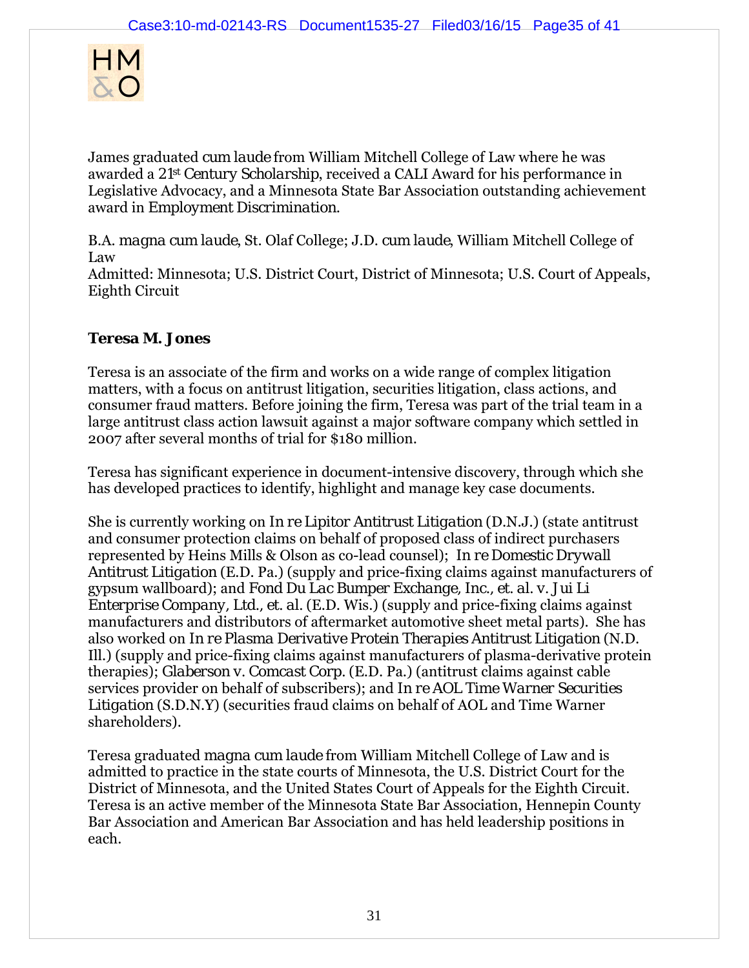

James graduated *cum laude* from William Mitchell College of Law where he was awarded a *21st Century Scholarship*, received a CALI Award for his performance in Legislative Advocacy, and a Minnesota State Bar Association outstanding achievement award in *Employment Discrimination*.

B.A. *magna cum laude*, St. Olaf College; J.D. *cum laude*, William Mitchell College of Law

Admitted: Minnesota; U.S. District Court, District of Minnesota; U.S. Court of Appeals, Eighth Circuit

## **Teresa M. Jones**

Teresa is an associate of the firm and works on a wide range of complex litigation matters, with a focus on antitrust litigation, securities litigation, class actions, and consumer fraud matters. Before joining the firm, Teresa was part of the trial team in a large antitrust class action lawsuit against a major software company which settled in 2007 after several months of trial for \$180 million.

Teresa has significant experience in document-intensive discovery, through which she has developed practices to identify, highlight and manage key case documents.

She is currently working on *In re Lipitor Antitrust Litigation* (D.N.J.) (state antitrust and consumer protection claims on behalf of proposed class of indirect purchasers represented by Heins Mills & Olson as co-lead counsel); *In re Domestic Drywall Antitrust Litigation* (E.D. Pa.) (supply and price-fixing claims against manufacturers of gypsum wallboard); and *Fond Du Lac Bumper Exchange, Inc., et. al. v. Jui Li Enterprise Company, Ltd., et. al.* (E.D. Wis.) (supply and price-fixing claims against manufacturers and distributors of aftermarket automotive sheet metal parts). She has also worked on *In re Plasma Derivative Protein Therapies Antitrust Litigation* (N.D. Ill.) (supply and price-fixing claims against manufacturers of plasma-derivative protein therapies); *Glaberson v. Comcast Corp.* (E.D. Pa.) (antitrust claims against cable services provider on behalf of subscribers); and *In re AOL Time Warner Securities Litigation* (S.D.N.Y) (securities fraud claims on behalf of AOL and Time Warner shareholders).

Teresa graduated *magna cum laude* from William Mitchell College of Law and is admitted to practice in the state courts of Minnesota, the U.S. District Court for the District of Minnesota, and the United States Court of Appeals for the Eighth Circuit. Teresa is an active member of the Minnesota State Bar Association, Hennepin County Bar Association and American Bar Association and has held leadership positions in each.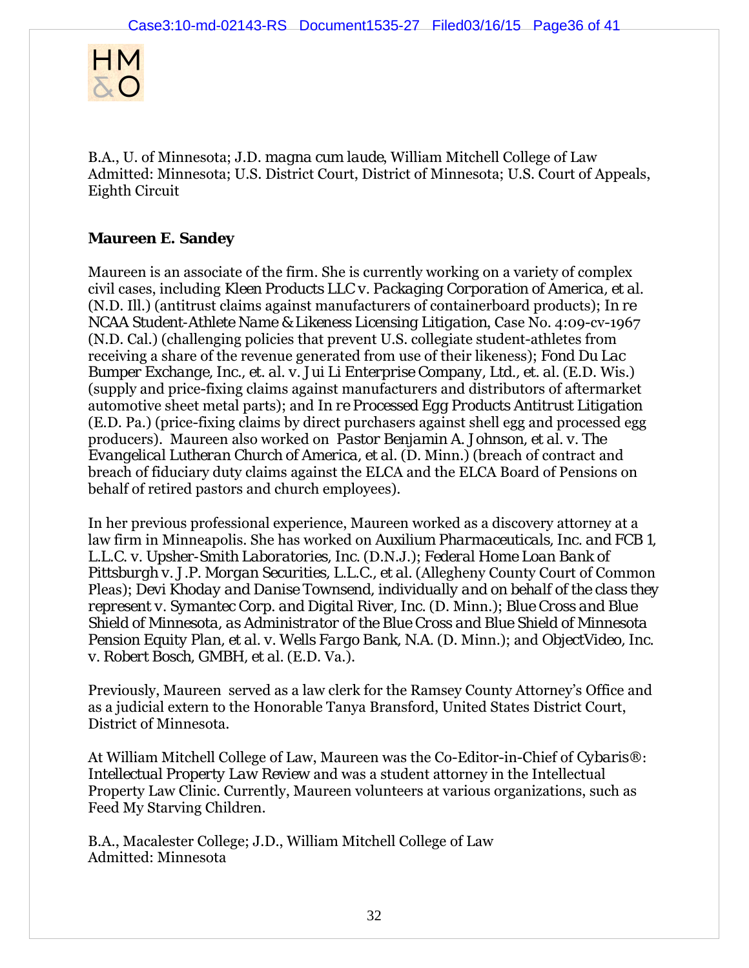

B.A., U. of Minnesota; J.D. *magna cum laude*, William Mitchell College of Law Admitted: Minnesota; U.S. District Court, District of Minnesota; U.S. Court of Appeals, Eighth Circuit

## **Maureen E. Sandey**

Maureen is an associate of the firm. She is currently working on a variety of complex civil cases, including *Kleen Products LLC v. Packaging Corporation of America, et al.* (N.D. Ill.) (antitrust claims against manufacturers of containerboard products); *In re NCAA Student-Athlete Name & Likeness Licensing Litigation*, Case No. 4:09-cv-1967 (N.D. Cal.) (challenging policies that prevent U.S. collegiate student-athletes from receiving a share of the revenue generated from use of their likeness); *Fond Du Lac Bumper Exchange, Inc., et. al. v. Jui Li Enterprise Company, Ltd., et. al.* (E.D. Wis.) (supply and price-fixing claims against manufacturers and distributors of aftermarket automotive sheet metal parts); and *In re Processed Egg Products Antitrust Litigation* (E.D. Pa.) (price-fixing claims by direct purchasers against shell egg and processed egg producers). Maureen also worked on *Pastor Benjamin A. Johnson, et al. v. The Evangelical Lutheran Church of America, et al.* (D. Minn.) (breach of contract and breach of fiduciary duty claims against the ELCA and the ELCA Board of Pensions on behalf of retired pastors and church employees).

In her previous professional experience, Maureen worked as a discovery attorney at a law firm in Minneapolis. She has worked on *Auxilium Pharmaceuticals, Inc. and FCB 1, L.L.C. v. Upsher-Smith Laboratories, Inc.* (D.N.J.); *Federal Home Loan Bank of Pittsburgh v. J.P. Morgan Securities, L.L.C., et al.* (Allegheny County Court of Common Pleas); *Devi Khoday and Danise Townsend, individually and on behalf of the class they represent v. Symantec Corp. and Digital River, Inc.* (D. Minn.); *Blue Cross and Blue Shield of Minnesota, as Administrator of the Blue Cross and Blue Shield of Minnesota Pension Equity Plan, et al. v. Wells Fargo Bank, N.A.* (D. Minn.); and *ObjectVideo, Inc. v. Robert Bosch, GMBH, et al.* (E.D. Va.).

Previously, Maureen served as a law clerk for the Ramsey County Attorney's Office and as a judicial extern to the Honorable Tanya Bransford, United States District Court, District of Minnesota.

At William Mitchell College of Law, Maureen was the Co-Editor-in-Chief of *Cybaris®: Intellectual Property Law Review* and was a student attorney in the Intellectual Property Law Clinic. Currently, Maureen volunteers at various organizations, such as Feed My Starving Children.

B.A., Macalester College; J.D., William Mitchell College of Law Admitted: Minnesota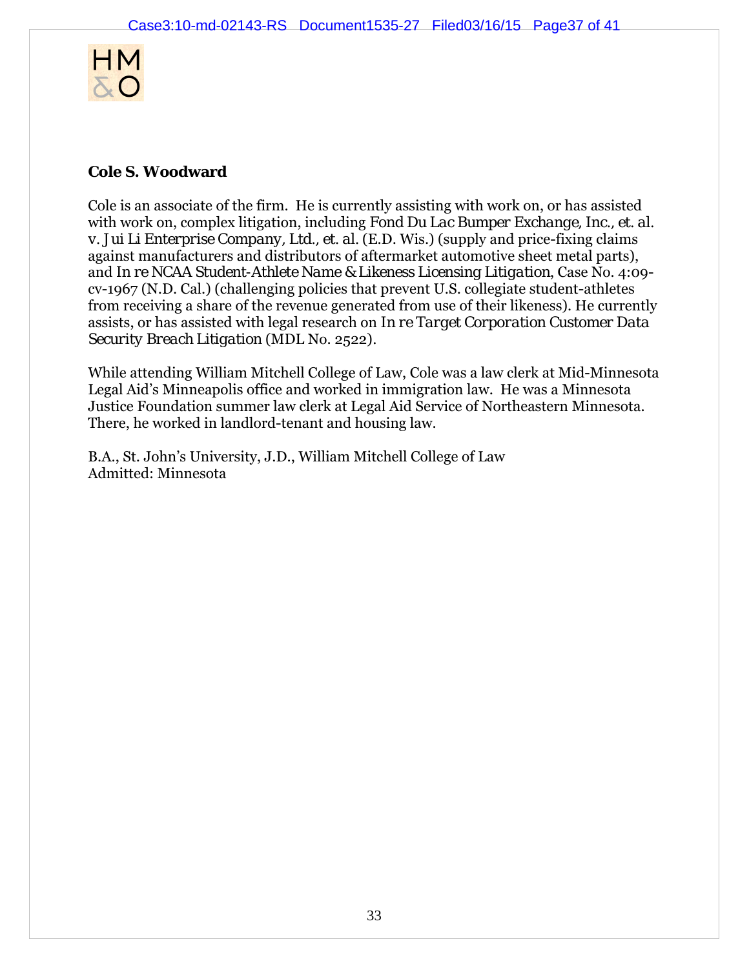

# **Cole S. Woodward**

Cole is an associate of the firm. He is currently assisting with work on, or has assisted with work on, complex litigation, including *Fond Du Lac Bumper Exchange, Inc., et. al. v. Jui Li Enterprise Company, Ltd., et. al.* (E.D. Wis.) (supply and price-fixing claims against manufacturers and distributors of aftermarket automotive sheet metal parts), and *In re NCAA Student-Athlete Name & Likeness Licensing Litigation*, Case No. 4:09 cv-1967 (N.D. Cal.) (challenging policies that prevent U.S. collegiate student-athletes from receiving a share of the revenue generated from use of their likeness). He currently assists, or has assisted with legal research on *In re Target Corporation Customer Data Security Breach Litigation* (MDL No. 2522)*.*

While attending William Mitchell College of Law, Cole was a law clerk at Mid-Minnesota Legal Aid's Minneapolis office and worked in immigration law. He was a Minnesota Justice Foundation summer law clerk at Legal Aid Service of Northeastern Minnesota. There, he worked in landlord-tenant and housing law.

B.A., St. John's University, J.D., William Mitchell College of Law Admitted: Minnesota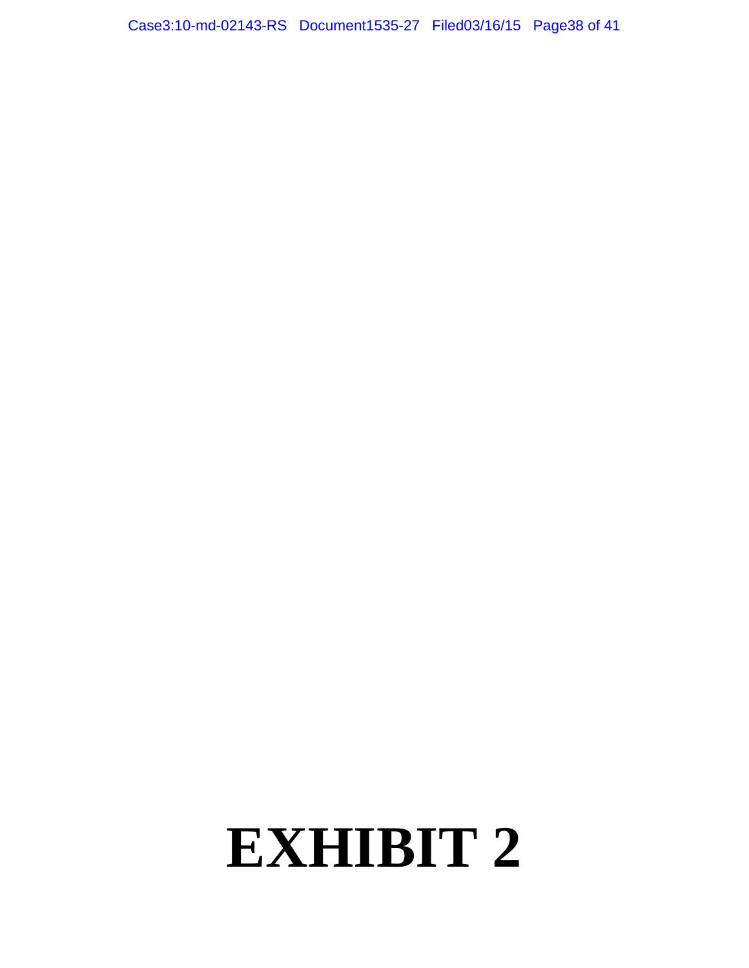Case3:10-md-02143-RS Document1535-27 Filed03/16/15 Page38 of 41

# **EXHIBIT 2**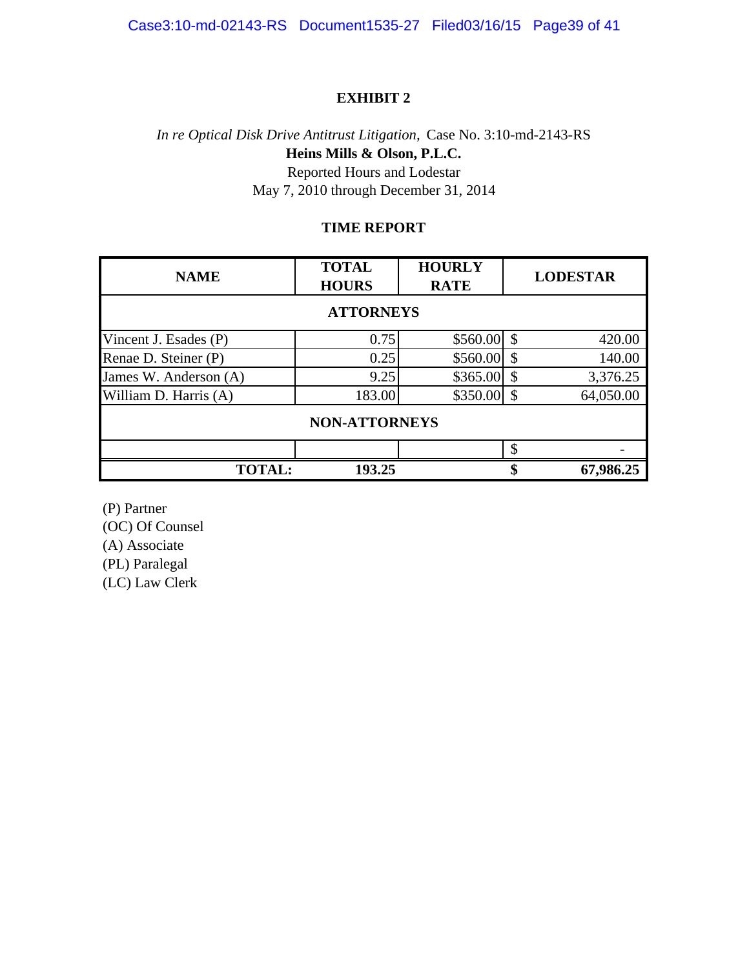#### **EXHIBIT 2**

# *In re Optical Disk Drive Antitrust Litigation,* Case No. 3:10-md-2143-RS **Heins Mills & Olson, P.L.C.** Reported Hours and Lodestar May 7, 2010 through December 31, 2014

#### **TIME REPORT**

| <b>NAME</b>           | <b>TOTAL</b><br><b>HOURS</b> | <b>HOURLY</b><br><b>RATE</b> |    | <b>LODESTAR</b> |  |  |  |
|-----------------------|------------------------------|------------------------------|----|-----------------|--|--|--|
| <b>ATTORNEYS</b>      |                              |                              |    |                 |  |  |  |
| Vincent J. Esades (P) | 0.75                         | \$560.00                     | \$ | 420.00          |  |  |  |
| Renae D. Steiner (P)  | 0.25                         | \$560.00                     | \$ | 140.00          |  |  |  |
| James W. Anderson (A) | 9.25                         | \$365.00                     | \$ | 3,376.25        |  |  |  |
| William D. Harris (A) | 183.00                       | \$350.00                     | \$ | 64,050.00       |  |  |  |
| <b>NON-ATTORNEYS</b>  |                              |                              |    |                 |  |  |  |
|                       |                              |                              | \$ |                 |  |  |  |
| <b>TOTAL:</b>         | 193.25                       |                              | \$ | 67,986.25       |  |  |  |

(P) Partner

(OC) Of Counsel

(A) Associate

(PL) Paralegal

(LC) Law Clerk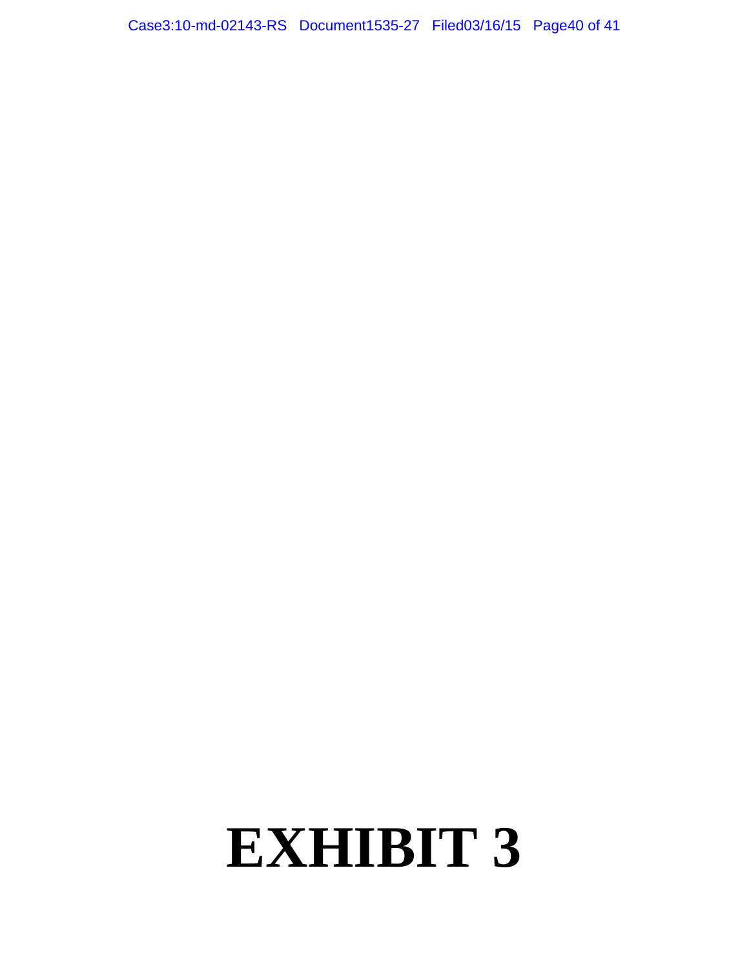Case3:10-md-02143-RS Document1535-27 Filed03/16/15 Page40 of 41

# **EXHIBIT 3**